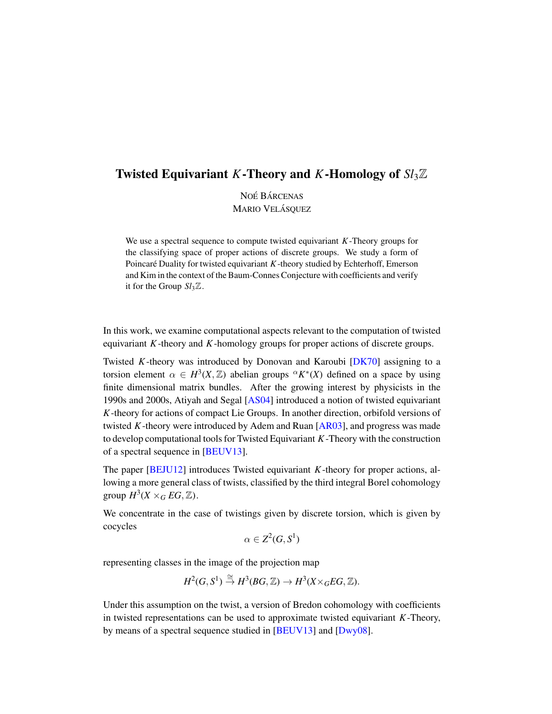## Twisted Equivariant *K*-Theory and *K*-Homology of *Sl*3Z

NOÉ BÁRCENAS **MARIO VELÁSQUEZ** 

We use a spectral sequence to compute twisted equivariant *K*-Theory groups for the classifying space of proper actions of discrete groups. We study a form of Poincaré Duality for twisted equivariant  $K$ -theory studied by Echterhoff, Emerson and Kim in the context of the Baum-Connes Conjecture with coefficients and verify it for the Group  $Sl<sub>3</sub>\mathbb{Z}$ .

In this work, we examine computational aspects relevant to the computation of twisted equivariant *K*-theory and *K*-homology groups for proper actions of discrete groups.

Twisted *K*-theory was introduced by Donovan and Karoubi [\[DK70\]](#page-30-0) assigning to a torsion element  $\alpha \in H^3(X, \mathbb{Z})$  abelian groups  ${}^{\alpha}K^*(X)$  defined on a space by using finite dimensional matrix bundles. After the growing interest by physicists in the 1990s and 2000s, Atiyah and Segal [\[AS04\]](#page-30-1) introduced a notion of twisted equivariant *K*-theory for actions of compact Lie Groups. In another direction, orbifold versions of twisted *K*-theory were introduced by Adem and Ruan [\[AR03\]](#page-30-2), and progress was made to develop computational tools for Twisted Equivariant *K*-Theory with the construction of a spectral sequence in [\[BEUV13\]](#page-30-3).

The paper [\[BEJU12\]](#page-30-4) introduces Twisted equivariant *K*-theory for proper actions, allowing a more general class of twists, classified by the third integral Borel cohomology group  $H^3(X\times_G EG, \mathbb{Z})$ .

We concentrate in the case of twistings given by discrete torsion, which is given by cocycles

$$
\alpha \in Z^2(G,S^1)
$$

representing classes in the image of the projection map

$$
H^2(G, S^1) \stackrel{\cong}{\to} H^3(BG, \mathbb{Z}) \to H^3(X \times_G EG, \mathbb{Z}).
$$

Under this assumption on the twist, a version of Bredon cohomology with coefficients in twisted representations can be used to approximate twisted equivariant *K*-Theory, by means of a spectral sequence studied in [\[BEUV13\]](#page-30-3) and [\[Dwy08\]](#page-30-5).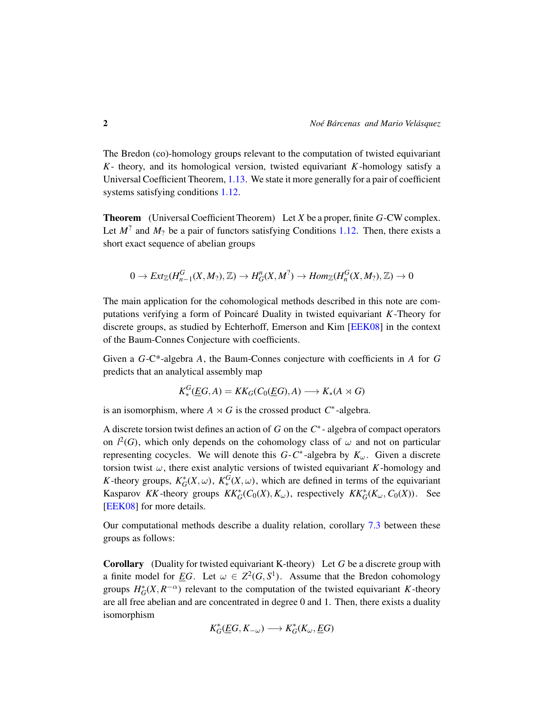The Bredon (co)-homology groups relevant to the computation of twisted equivariant *K*- theory, and its homological version, twisted equivariant *K*-homology satisfy a Universal Coefficient Theorem, [1.13.](#page-8-0) We state it more generally for a pair of coefficient systems satisfying conditions [1.12.](#page-7-0)

Theorem (Universal Coefficient Theorem) Let *X* be a proper, finite *G*-CW complex. Let  $M^2$  and  $M_2$  be a pair of functors satisfying Conditions [1.12.](#page-7-0) Then, there exists a short exact sequence of abelian groups

$$
0 \to Ext_{\mathbb{Z}}(H_{n-1}^G(X,M_?),\mathbb{Z}) \to H_G^n(X,M^?) \to Hom_{\mathbb{Z}}(H_n^G(X,M_?),\mathbb{Z}) \to 0
$$

The main application for the cohomological methods described in this note are computations verifying a form of Poincare Duality in twisted equivariant ´ *K*-Theory for discrete groups, as studied by Echterhoff, Emerson and Kim [\[EEK08\]](#page-30-6) in the context of the Baum-Connes Conjecture with coefficients.

Given a *G*-C\*-algebra *A*, the Baum-Connes conjecture with coefficients in *A* for *G* predicts that an analytical assembly map

$$
K_*^G(\underline{E}G, A) = KK_G(C_0(\underline{E}G), A) \longrightarrow K_*(A \rtimes G)
$$

is an isomorphism, where  $A \rtimes G$  is the crossed product  $C^*$ -algebra.

A discrete torsion twist defines an action of *G* on the *C* ∗ - algebra of compact operators on  $l^2(G)$ , which only depends on the cohomology class of  $\omega$  and not on particular representing cocycles. We will denote this  $G-C^*$ -algebra by  $K_{\omega}$ . Given a discrete torsion twist  $\omega$ , there exist analytic versions of twisted equivariant *K*-homology and *K*-theory groups,  $K_G^*(X, \omega)$ ,  $K_*^G(X, \omega)$ , which are defined in terms of the equivariant Kasparov *KK*-theory groups  $KK_G^*(C_0(X), K_\omega)$ , respectively  $KK_G^*(K_\omega, C_0(X))$ . See [\[EEK08\]](#page-30-6) for more details.

Our computational methods describe a duality relation, corollary [7.3](#page-29-0) between these groups as follows:

Corollary (Duality for twisted equivariant K-theory) Let *G* be a discrete group with a finite model for <u>E</u>G. Let  $\omega \in Z^2(G, S^1)$ . Assume that the Bredon cohomology groups  $H_G^*(X, R^{-\alpha})$  relevant to the computation of the twisted equivariant *K*-theory are all free abelian and are concentrated in degree 0 and 1. Then, there exists a duality isomorphism

$$
K_G^*(\underline{E}G, K_{-\omega}) \longrightarrow K_G^*(K_{\omega}, \underline{E}G)
$$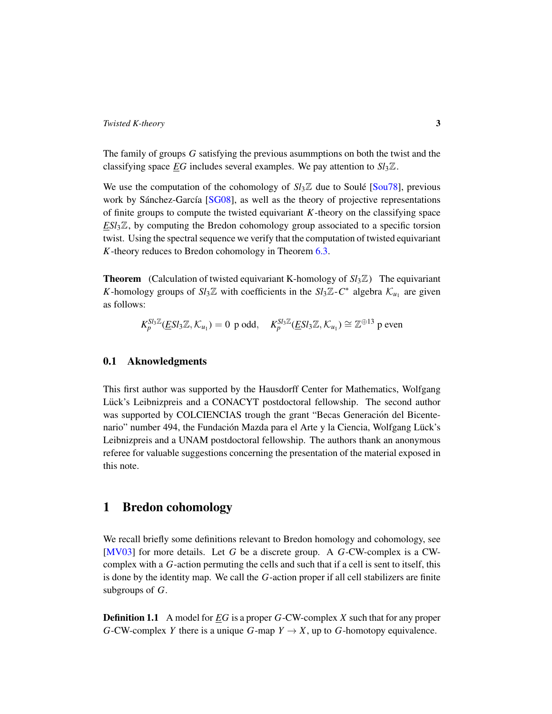The family of groups *G* satisfying the previous asummptions on both the twist and the classifying space *EG* includes several examples. We pay attention to  $Sl<sub>3</sub>\mathbb{Z}$ .

We use the computation of the cohomology of  $S_l \mathbb{Z}$  due to Soule [[Sou78\]](#page-31-0), previous work by Sánchez-García  $[SG08]$ , as well as the theory of projective representations of finite groups to compute the twisted equivariant *K*-theory on the classifying space *ESl*3Z, by computing the Bredon cohomology group associated to a specific torsion twist. Using the spectral sequence we verify that the computation of twisted equivariant *K*-theory reduces to Bredon cohomology in Theorem [6.3.](#page-28-0)

**Theorem** (Calculation of twisted equivariant K-homology of  $Sl<sub>3</sub>\mathbb{Z}$ ) The equivariant *K*-homology groups of  $Sl_3\mathbb{Z}$  with coefficients in the  $Sl_3\mathbb{Z}$ -*C*<sup>\*</sup> algebra  $\mathcal{K}_{u_1}$  are given as follows:

$$
K_p^{Sl_3\mathbb{Z}}(\underline{E}Sl_3\mathbb{Z},\mathcal{K}_{u_1})=0 \text{ p odd}, \quad K_p^{Sl_3\mathbb{Z}}(\underline{E}Sl_3\mathbb{Z},\mathcal{K}_{u_1})\cong \mathbb{Z}^{\oplus 13} \text{ p even}
$$

### 0.1 Aknowledgments

This first author was supported by the Hausdorff Center for Mathematics, Wolfgang Lück's Leibnizpreis and a CONACYT postdoctoral fellowship. The second author was supported by COLCIENCIAS trough the grant "Becas Generación del Bicentenario" number 494, the Fundación Mazda para el Arte y la Ciencia, Wolfgang Lück's Leibnizpreis and a UNAM postdoctoral fellowship. The authors thank an anonymous referee for valuable suggestions concerning the presentation of the material exposed in this note.

## 1 Bredon cohomology

We recall briefly some definitions relevant to Bredon homology and cohomology, see [\[MV03\]](#page-30-7) for more details. Let *G* be a discrete group. A *G*-CW-complex is a CWcomplex with a *G*-action permuting the cells and such that if a cell is sent to itself, this is done by the identity map. We call the *G*-action proper if all cell stabilizers are finite subgroups of *G*.

Definition 1.1 A model for *EG* is a proper *G*-CW-complex *X* such that for any proper *G*-CW-complex *Y* there is a unique *G*-map  $Y \to X$ , up to *G*-homotopy equivalence.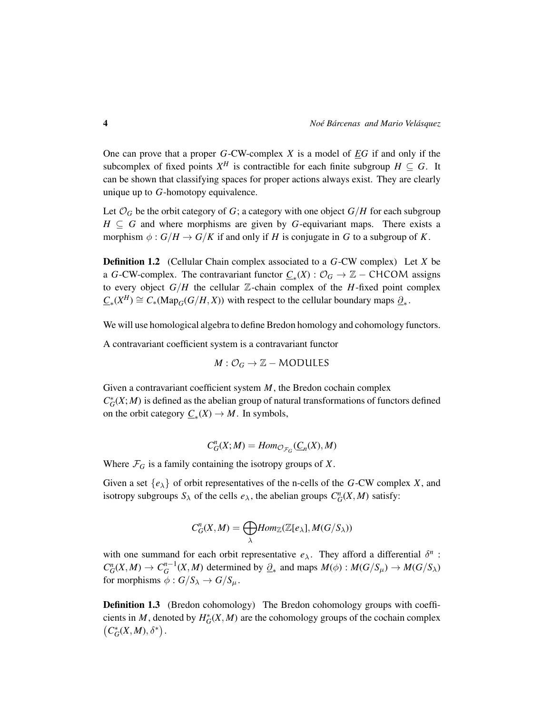One can prove that a proper *G*-CW-complex *X* is a model of *EG* if and only if the subcomplex of fixed points  $X^H$  is contractible for each finite subgroup  $H \subseteq G$ . It can be shown that classifying spaces for proper actions always exist. They are clearly unique up to *G*-homotopy equivalence.

Let  $\mathcal{O}_G$  be the orbit category of *G*; a category with one object *G*/*H* for each subgroup  $H \subseteq G$  and where morphisms are given by *G*-equivariant maps. There exists a morphism  $\phi: G/H \to G/K$  if and only if *H* is conjugate in *G* to a subgroup of *K*.

Definition 1.2 (Cellular Chain complex associated to a *G*-CW complex) Let *X* be a *G*-CW-complex. The contravariant functor  $C_*(X)$  :  $\mathcal{O}_G \to \mathbb{Z}$  – CHCOM assigns to every object  $G/H$  the cellular  $\mathbb{Z}$ -chain complex of the *H*-fixed point complex  $\underline{C}_*(X^H) \cong C_*(\text{Map}_G(G/H, X))$  with respect to the cellular boundary maps  $\underline{\partial}_*$ .

We will use homological algebra to define Bredon homology and cohomology functors.

A contravariant coefficient system is a contravariant functor

$$
M:\mathcal{O}_G\to\mathbb{Z}-\text{MODULES}
$$

Given a contravariant coefficient system *M*, the Bredon cochain complex  $C^*_{G}(X; M)$  is defined as the abelian group of natural transformations of functors defined on the orbit category  $\underline{C}_*(X) \to M$ . In symbols,

$$
C_G^n(X;M) = Hom_{\mathcal{O}_{\mathcal{F}_G}}(\underline{C}_n(X),M)
$$

Where  $\mathcal{F}_G$  is a family containing the isotropy groups of *X*.

Given a set  $\{e_{\lambda}\}\$  of orbit representatives of the n-cells of the *G*-CW complex *X*, and isotropy subgroups  $S_\lambda$  of the cells  $e_\lambda$ , the abelian groups  $C_G^n(X, M)$  satisfy:

$$
C_G^n(X,M) = \bigoplus_{\lambda} Hom_{\mathbb{Z}}(\mathbb{Z}[e_{\lambda}], M(G/S_{\lambda}))
$$

with one summand for each orbit representative  $e_{\lambda}$ . They afford a differential  $\delta^{n}$ :  $C_G^n(X, M) \to C_G^{n-1}(X, M)$  determined by  $\partial_*$  and maps  $M(\phi) : M(G/S_\mu) \to M(G/S_\lambda)$ for morphisms  $\phi: G/S_{\lambda} \to G/S_{\mu}$ .

**Definition 1.3** (Bredon cohomology) The Bredon cohomology groups with coefficients in *M*, denoted by  $H_G^*(X, M)$  are the cohomology groups of the cochain complex  $\left(C^*_G(X,M),\delta^*\right)$ .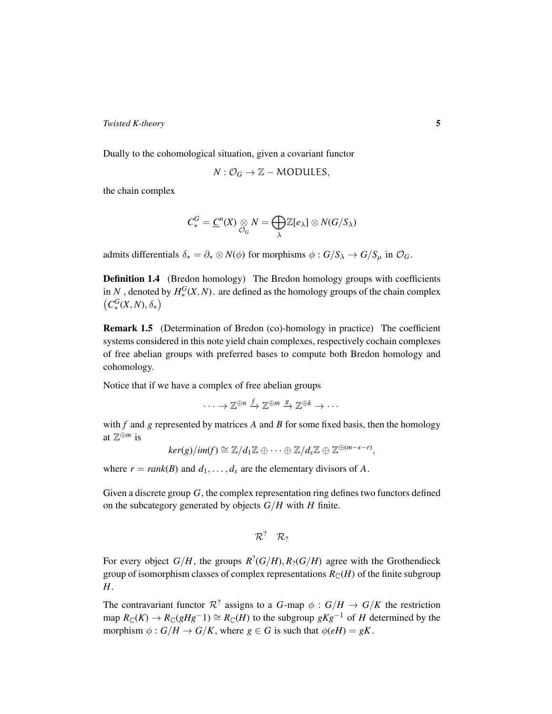Dually to the cohomological situation, given a covariant functor

$$
N:\mathcal{O}_G\to\mathbb{Z}-MODULES,
$$

the chain complex

$$
C_*^G = \underline{C}^n(X) \underset{\mathcal{O}_G}{\otimes} N = \bigoplus_{\lambda} \mathbb{Z}[e_{\lambda}] \otimes N(G/S_{\lambda})
$$

admits differentials  $\delta_* = \partial_* \otimes N(\phi)$  for morphisms  $\phi : G/S_\lambda \to G/S_\mu$  in  $\mathcal{O}_G$ .

**Definition 1.4** (Bredon homology) The Bredon homology groups with coefficients in *N* , denoted by  $H_*^G(X, N)$ . are defined as the homology groups of the chain complex  $\left(C_*^G(X,N),\delta_*\right)$ 

Remark 1.5 (Determination of Bredon (co)-homology in practice) The coefficient systems considered in this note yield chain complexes, respectively cochain complexes of free abelian groups with preferred bases to compute both Bredon homology and cohomology.

Notice that if we have a complex of free abelian groups

 $\cdots \to \mathbb{Z}^{\oplus n} \xrightarrow{f} \mathbb{Z}^{\oplus m} \xrightarrow{g} \mathbb{Z}^{\oplus k} \to \cdots$ 

with *f* and *g* represented by matrices *A* and *B* for some fixed basis, then the homology at Z <sup>⊕</sup>*<sup>m</sup>* is

$$
ker(g)/im(f) \cong \mathbb{Z}/d_1\mathbb{Z} \oplus \cdots \oplus \mathbb{Z}/d_s\mathbb{Z} \oplus \mathbb{Z}^{\oplus (m-s-r)},
$$

where  $r = rank(B)$  and  $d_1, \ldots, d_s$  are the elementary divisors of A.

Given a discrete group *G*, the complex representation ring defines two functors defined on the subcategory generated by objects *G*/*H* with *H* finite.

$$
\mathcal{R}^? \quad \mathcal{R}_?
$$

For every object  $G/H$ , the groups  $R^2(G/H)$ ,  $R_2(G/H)$  agree with the Grothendieck group of isomorphism classes of complex representations  $R_{\mathbb{C}}(H)$  of the finite subgroup *H*.

The contravariant functor  $\mathcal{R}^2$  assigns to a *G*-map  $\phi : G/H \to G/K$  the restriction map  $R_{\mathbb{C}}(K) \to R_{\mathbb{C}}(gHg^-1) \cong R_{\mathbb{C}}(H)$  to the subgroup  $gKg^{-1}$  of *H* determined by the morphism  $\phi$ :  $G/H \rightarrow G/K$ , where  $g \in G$  is such that  $\phi(eH) = gK$ .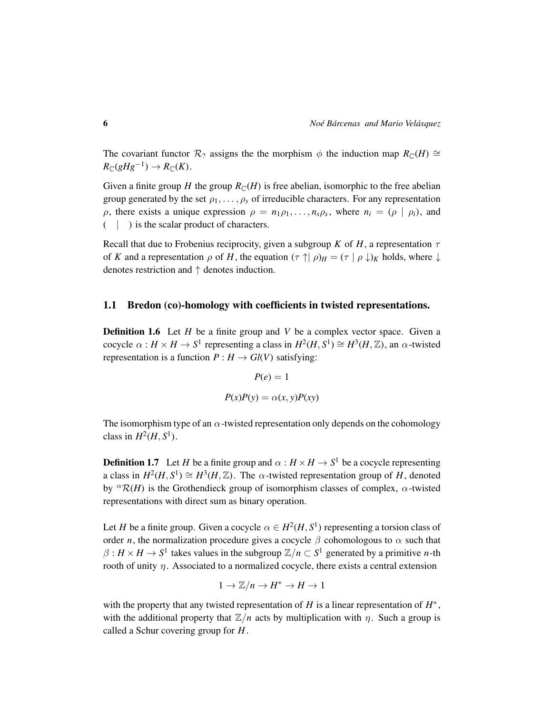The covariant functor  $\mathcal{R}_2$  assigns the the morphism  $\phi$  the induction map  $R_{\mathbb{C}}(H) \cong$  $R_{\mathbb{C}}(gHg^{-1}) \to R_{\mathbb{C}}(K)$ .

Given a finite group *H* the group  $R_{\mathbb{C}}(H)$  is free abelian, isomorphic to the free abelian group generated by the set  $\rho_1, \ldots, \rho_s$  of irreducible characters. For any representation  $\rho$ , there exists a unique expression  $\rho = n_1 \rho_1, \ldots, n_s \rho_s$ , where  $n_i = (\rho \mid \rho_i)$ , and ( | ) is the scalar product of characters.

Recall that due to Frobenius reciprocity, given a subgroup *K* of *H*, a representation  $\tau$ of *K* and a representation  $\rho$  of *H*, the equation  $(\tau \uparrow \vert \rho)_H = (\tau \vert \rho \downarrow)_K$  holds, where  $\downarrow$ denotes restriction and ↑ denotes induction.

#### 1.1 Bredon (co)-homology with coefficients in twisted representations.

**Definition 1.6** Let *H* be a finite group and *V* be a complex vector space. Given a cocycle  $\alpha : H \times H \to S^1$  representing a class in  $H^2(H, S^1) \cong H^3(H, \mathbb{Z})$ , an  $\alpha$ -twisted representation is a function  $P: H \to Gl(V)$  satisfying:

$$
P(e) = 1
$$

$$
P(x)P(y) = \alpha(x, y)P(xy)
$$

The isomorphism type of an  $\alpha$ -twisted representation only depends on the cohomology class in  $H^2(H, S^1)$ .

**Definition 1.7** Let *H* be a finite group and  $\alpha : H \times H \to S^1$  be a cocycle representing a class in  $H^2(H, S^1) \cong H^3(H, \mathbb{Z})$ . The  $\alpha$ -twisted representation group of *H*, denoted by  ${}^{\alpha}R(H)$  is the Grothendieck group of isomorphism classes of complex,  $\alpha$ -twisted representations with direct sum as binary operation.

Let *H* be a finite group. Given a cocycle  $\alpha \in H^2(H, S^1)$  representing a torsion class of order *n*, the normalization procedure gives a cocycle  $\beta$  cohomologous to  $\alpha$  such that  $\beta: H \times H \to S^1$  takes values in the subgroup  $\mathbb{Z}/n \subset S^1$  generated by a primitive *n*-th rooth of unity  $\eta$ . Associated to a normalized cocycle, there exists a central extension

$$
1 \to \mathbb{Z}/n \to H^* \to H \to 1
$$

with the property that any twisted representation of *H* is a linear representation of  $H^*$ , with the additional property that  $\mathbb{Z}/n$  acts by multiplication with  $\eta$ . Such a group is called a Schur covering group for *H*.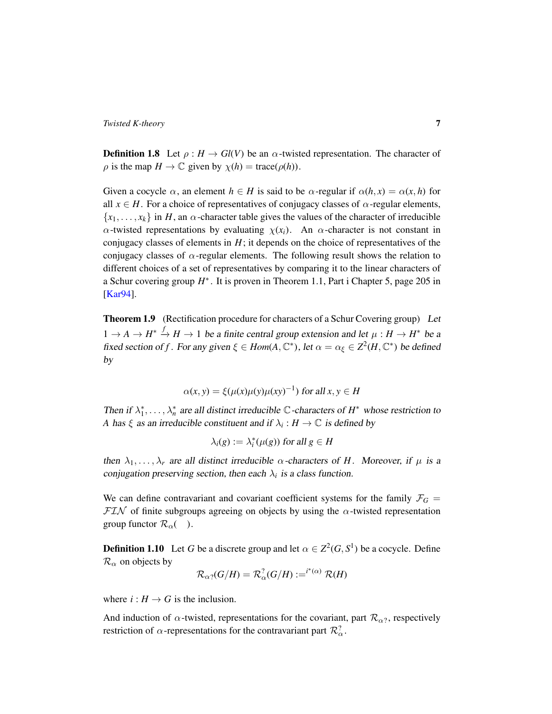**Definition 1.8** Let  $\rho : H \to Gl(V)$  be an  $\alpha$ -twisted representation. The character of  $\rho$  is the map  $H \to \mathbb{C}$  given by  $\chi(h) = \text{trace}(\rho(h)).$ 

Given a cocycle  $\alpha$ , an element  $h \in H$  is said to be  $\alpha$ -regular if  $\alpha(h, x) = \alpha(x, h)$  for all  $x \in H$ . For a choice of representatives of conjugacy classes of  $\alpha$ -regular elements,  ${x_1, \ldots, x_k}$  in *H*, an  $\alpha$ -character table gives the values of the character of irreducible  $\alpha$ -twisted representations by evaluating  $\chi(x_i)$ . An  $\alpha$ -character is not constant in conjugacy classes of elements in  $H$ ; it depends on the choice of representatives of the conjugacy classes of  $\alpha$ -regular elements. The following result shows the relation to different choices of a set of representatives by comparing it to the linear characters of a Schur covering group  $H^*$ . It is proven in Theorem 1.1, Part i Chapter 5, page 205 in [\[Kar94\]](#page-30-8).

Theorem 1.9 (Rectification procedure for characters of a Schur Covering group) Let  $1 \rightarrow A \rightarrow H^* \stackrel{f}{\rightarrow} H \rightarrow 1$  be a finite central group extension and let  $\mu : H \rightarrow H^*$  be a fixed section of *f*. For any given  $\xi \in Hom(A, \mathbb{C}^*)$ , let  $\alpha = \alpha_{\xi} \in Z^2(H, \mathbb{C}^*)$  be defined by

$$
\alpha(x, y) = \xi(\mu(x)\mu(y)\mu(xy)^{-1}) \text{ for all } x, y \in H
$$

Then if  $\lambda_1^*, \ldots, \lambda_n^*$  are all distinct irreducible  $\mathbb C$ -characters of  $H^*$  whose restriction to *A* has  $\xi$  as an irreducible constituent and if  $\lambda_i : H \to \mathbb{C}$  is defined by

$$
\lambda_i(g) := \lambda_i^*(\mu(g)) \text{ for all } g \in H
$$

then  $\lambda_1, \ldots, \lambda_r$  are all distinct irreducible  $\alpha$ -characters of *H*. Moreover, if  $\mu$  is a conjugation preserving section, then each  $\lambda_i$  is a class function.

We can define contravariant and covariant coefficient systems for the family  $\mathcal{F}_G$  =  $\mathcal{F} \mathcal{I} \mathcal{N}$  of finite subgroups agreeing on objects by using the  $\alpha$ -twisted representation group functor  $\mathcal{R}_{\alpha}(\ )$ .

<span id="page-6-0"></span>**Definition 1.10** Let *G* be a discrete group and let  $\alpha \in \mathbb{Z}^2(G, S^1)$  be a cocycle. Define  $\mathcal{R}_{\alpha}$  on objects by

$$
\mathcal{R}_{\alpha\gamma}(G/H)=\mathcal{R}_{\alpha}^? (G/H):=^{i^*(\alpha)} \mathcal{R}(H)
$$

where  $i: H \to G$  is the inclusion.

And induction of  $\alpha$ -twisted, representations for the covariant, part  $\mathcal{R}_{\alpha}$ , respectively restriction of  $\alpha$ -representations for the contravariant part  $\mathcal{R}^2_{\alpha}$ .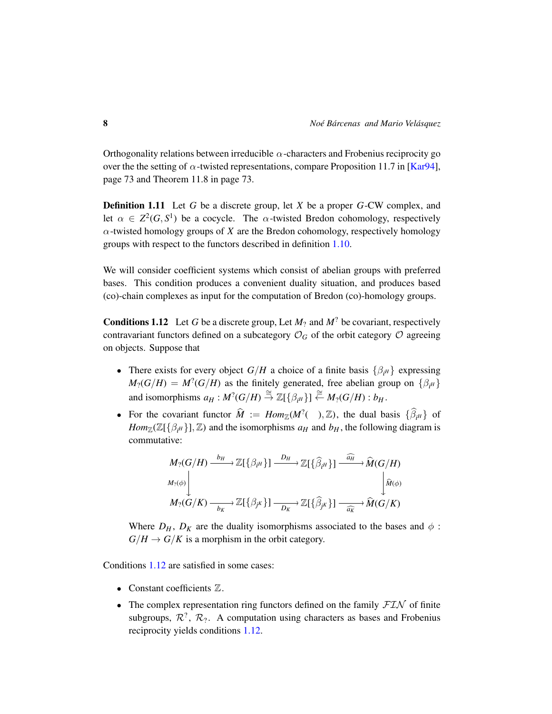Orthogonality relations between irreducible  $\alpha$ -characters and Frobenius reciprocity go over the the setting of  $\alpha$ -twisted representations, compare Proposition 11.7 in [\[Kar94\]](#page-30-8), page 73 and Theorem 11.8 in page 73.

Definition 1.11 Let *G* be a discrete group, let *X* be a proper *G*-CW complex, and let  $\alpha \in \mathbb{Z}^2(G, S^1)$  be a cocycle. The  $\alpha$ -twisted Bredon cohomology, respectively  $\alpha$ -twisted homology groups of *X* are the Bredon cohomology, respectively homology groups with respect to the functors described in definition [1.10.](#page-6-0)

We will consider coefficient systems which consist of abelian groups with preferred bases. This condition produces a convenient duality situation, and produces based (co)-chain complexes as input for the computation of Bredon (co)-homology groups.

<span id="page-7-0"></span>**Conditions 1.12** Let G be a discrete group, Let  $M_2$  and  $M^2$  be covariant, respectively contravariant functors defined on a subcategory  $\mathcal{O}_G$  of the orbit category  $\mathcal O$  agreeing on objects. Suppose that

- There exists for every object  $G/H$  a choice of a finite basis  $\{\beta_{i}H}\}$  expressing  $M_?$  *(G/H)* =  $M^?$  *(G/H)* as the finitely generated, free abelian group on  $\{\beta_{i^H}\}\$ and isomorphisms  $a_H : M^?$   $(G/H) \stackrel{\cong}{\to} \mathbb{Z}[\{\beta_{i^H}\}] \stackrel{\cong}{\leftarrow} M_?$   $(G/H) : b_H$ .
- For the covariant functor  $\widehat{M} := Hom_{\mathbb{Z}}(M^?(\ ) , \mathbb{Z})$ , the dual basis  $\{\widehat{\beta}_{i}H\}$  of *Hom*<sub>Z</sub>( $\mathbb{Z}[\{\beta_{i}H\}]\$ ,  $\mathbb{Z}$ ) and the isomorphisms  $a_H$  and  $b_H$ , the following diagram is commutative:

$$
M_2(G/H) \xrightarrow{b_H} \mathbb{Z}[\{\beta_{i^H}\}] \xrightarrow{D_H} \mathbb{Z}[\{\widehat{\beta}_{i^H}\}] \xrightarrow{\widehat{M}(G/H)}
$$
  

$$
M_2(G/K) \xrightarrow{b_K} \mathbb{Z}[\{\beta_{j^K}\}] \xrightarrow{D_K} \mathbb{Z}[\{\widehat{\beta}_{j^K}\}] \xrightarrow{\widehat{M}(G/K)}
$$

Where  $D_H$ ,  $D_K$  are the duality isomorphisms associated to the bases and  $\phi$ :  $G/H \to G/K$  is a morphism in the orbit category.

Conditions [1.12](#page-7-0) are satisfied in some cases:

- Constant coefficients  $\mathbb{Z}$ .
- The complex representation ring functors defined on the family  $FLN$  of finite subgroups,  $\mathcal{R}^2$ ,  $\mathcal{R}_2$ . A computation using characters as bases and Frobenius reciprocity yields conditions [1.12.](#page-7-0)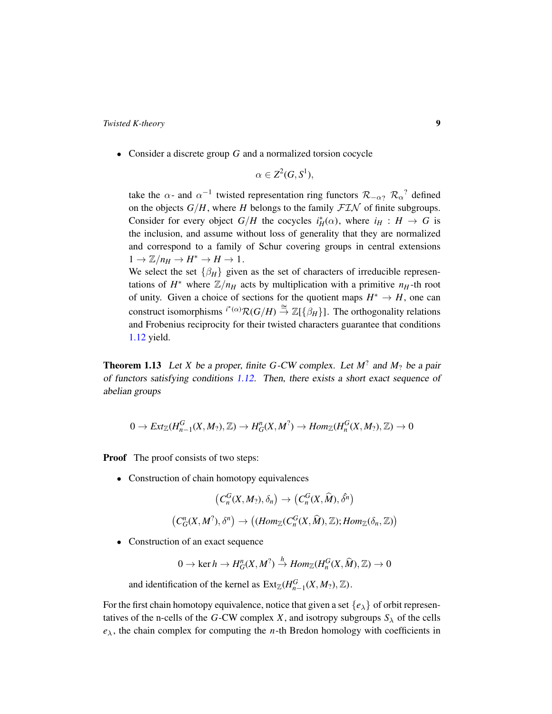• Consider a discrete group *G* and a normalized torsion cocycle

$$
\alpha \in \mathbb{Z}^2(G, S^1),
$$

take the  $\alpha$ - and  $\alpha^{-1}$  twisted representation ring functors  $\mathcal{R}_{-\alpha}$ ?  $\mathcal{R}_{\alpha}$ ? defined on the objects  $G/H$ , where *H* belongs to the family  $FTN$  of finite subgroups. Consider for every object  $G/H$  the cocycles  $i_H^*(\alpha)$ , where  $i_H : H \to G$  is the inclusion, and assume without loss of generality that they are normalized and correspond to a family of Schur covering groups in central extensions  $1 \rightarrow \mathbb{Z}/n_H \rightarrow H^* \rightarrow H \rightarrow 1$ . We select the set  $\{\beta_H\}$  given as the set of characters of irreducible represen-

tations of  $H^*$  where  $\mathbb{Z}/n_H$  acts by multiplication with a primitive  $n_H$ -th root of unity. Given a choice of sections for the quotient maps  $H^* \to H$ , one can construct isomorphisms  $i^*(\alpha) \mathcal{R}(G/H) \stackrel{\cong}{\to} \mathbb{Z}[\{\beta_H\}]$ . The orthogonality relations and Frobenius reciprocity for their twisted characters guarantee that conditions [1.12](#page-7-0) yield.

<span id="page-8-0"></span>**Theorem 1.13** Let *X* be a proper, finite *G*-CW complex. Let  $M^2$  and  $M_2$  be a pair of functors satisfying conditions [1.12.](#page-7-0) Then, there exists a short exact sequence of abelian groups

$$
0 \to Ext_{\mathbb{Z}}(H_{n-1}^G(X,M_?),\mathbb{Z}) \to H_G^n(X,M^?) \to Hom_{\mathbb{Z}}(H_n^G(X,M_?),\mathbb{Z}) \to 0
$$

**Proof** The proof consists of two steps:

• Construction of chain homotopy equivalences

$$
\big(C^G_n(X,M_?),\delta_n\big)\rightarrow \big(C^G_n(X,\widehat{M}),\hat{\delta^n}\big)
$$

$$
(C_G^n(X,M^?),\delta^n) \to ((Hom_{\mathbb{Z}}(C_n^G(X,\widehat{M}),\mathbb{Z});Hom_{\mathbb{Z}}(\delta_n,\mathbb{Z}))
$$

• Construction of an exact sequence

 $0 \to \text{ker } h \to H_G^n(X, M^? \to \text{Hom}_{\mathbb{Z}}(H_n^G(X, \widehat{M}), \mathbb{Z}) \to 0$ 

and identification of the kernel as  $\text{Ext}_{\mathbb{Z}}(H_{n-1}^G(X, M_?), \mathbb{Z})$ .

For the first chain homotopy equivalence, notice that given a set  $\{e_{\lambda}\}\$  of orbit representatives of the n-cells of the *G*-CW complex *X*, and isotropy subgroups  $S_\lambda$  of the cells  $e_{\lambda}$ , the chain complex for computing the *n*-th Bredon homology with coefficients in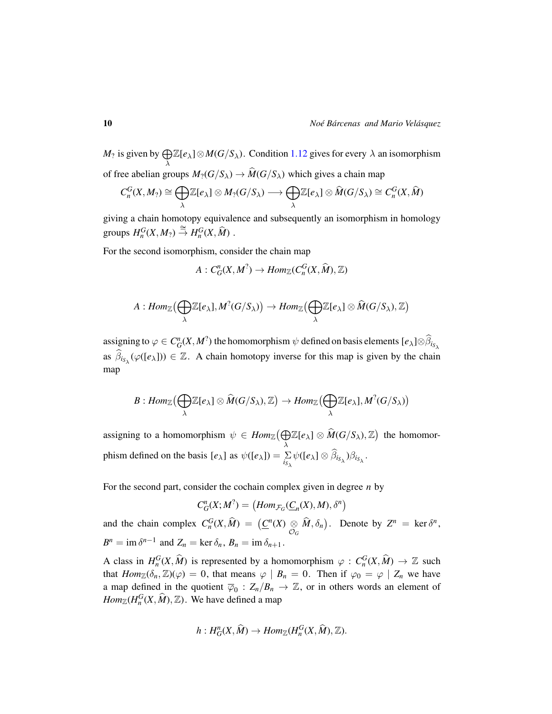$M_?$  is given by  $\bigoplus$ λ  $\mathbb{Z}[e_{\lambda}] \otimes M(G/S_{\lambda})$ . Condition [1.12](#page-7-0) gives for every  $\lambda$  an isomorphism of free abelian groups  $M_2(G/S_\lambda) \to \widehat{M}(G/S_\lambda)$  which gives a chain map

$$
C_n^G(X,M_?)\cong\bigoplus_{\lambda}\mathbb{Z}[e_{\lambda}]\otimes M_?(G/S_{\lambda})\longrightarrow\bigoplus_{\lambda}\mathbb{Z}[e_{\lambda}]\otimes \widehat{M}(G/S_{\lambda})\cong C_n^G(X,\widehat{M})
$$

giving a chain homotopy equivalence and subsequently an isomorphism in homology groups  $H_n^G(X, M_2) \stackrel{\cong}{\to} H_n^G(X, \hat{M})$ .

For the second isomorphism, consider the chain map

$$
A: C_G^n(X, M^?) \to Hom_{\mathbb{Z}}(C_n^G(X, \widehat{M}), \mathbb{Z})
$$

$$
A:Hom_{\mathbb{Z}}\big(\bigoplus_{\lambda} \mathbb{Z}[e_{\lambda}],M^?(G/S_{\lambda})\big) \to Hom_{\mathbb{Z}}\big(\bigoplus_{\lambda} \mathbb{Z}[e_{\lambda}] \otimes \widehat{M}(G/S_{\lambda}),\mathbb{Z}\big)
$$

assigning to  $\varphi \in C_G^n(X, M^?)$  the homomorphism  $\psi$  defined on basis elements  $[e_\lambda] \otimes \widehat{\beta}_{i_{S_\lambda}}$ as  $\widehat{\beta}_{i_{S_{\lambda}}}(\varphi([e_{\lambda}])) \in \mathbb{Z}$ . A chain homotopy inverse for this map is given by the chain map

$$
B:Hom_{\mathbb{Z}}\big(\bigoplus_{\lambda} \mathbb{Z}[e_{\lambda}] \otimes \widehat{M}(G/S_{\lambda}),\mathbb{Z}\big) \to Hom_{\mathbb{Z}}\big(\bigoplus_{\lambda} \mathbb{Z}[e_{\lambda}],M^{?}(G/S_{\lambda})\big)
$$

assigning to a homomorphism  $\psi \in \text{Hom}_{\mathbb{Z}}(\bigoplus$  $\bigoplus_{\lambda} \mathbb{Z}[e_{\lambda}] \otimes \widehat{M}(G/S_{\lambda}), \mathbb{Z}\big)$  the homomorphism defined on the basis  $[e_\lambda]$  as  $\psi([e_\lambda]) = \sum_{i_{\lambda}} \psi([e_\lambda] \otimes \beta_{i_{\lambda}}) \beta_{i_{\lambda}}$ .

For the second part, consider the cochain complex given in degree *n* by

$$
C_G^n(X;M^?) = (Hom_{\mathcal{F}_G}(\underline{C}_n(X),M),\delta^n)
$$

and the chain complex  $C_n^G(X, \widehat{M}) = (\underline{C}^n(X), \underline{\otimes})$  $\bigotimes_{\mathcal{O}_G} \widehat{M}, \delta_n$ . Denote by  $Z^n = \ker \delta^n$ ,  $B^n = \text{im } \delta^{n-1}$  and  $Z_n = \text{ker } \delta_n$ ,  $B_n = \text{im } \delta_{n+1}$ .

A class in  $H_0^G(X, \hat{M})$  is represented by a homomorphism  $\varphi : C_n^G(X, \hat{M}) \to \mathbb{Z}$  such that  $Hom_{\mathbb{Z}}(\delta_n, \mathbb{Z})(\varphi) = 0$ , that means  $\varphi \mid B_n = 0$ . Then if  $\varphi_0 = \varphi \mid Z_n$  we have a map defined in the quotient  $\overline{\varphi}_0$  :  $Z_n/B_n \to \mathbb{Z}$ , or in others words an element of  $Hom_{\mathbb{Z}}(H_n^G(X, \widehat{M}), \mathbb{Z})$ . We have defined a map

$$
h: H^n_G(X, \widehat{M}) \to Hom_{\mathbb{Z}}(H_n^G(X, \widehat{M}), \mathbb{Z}).
$$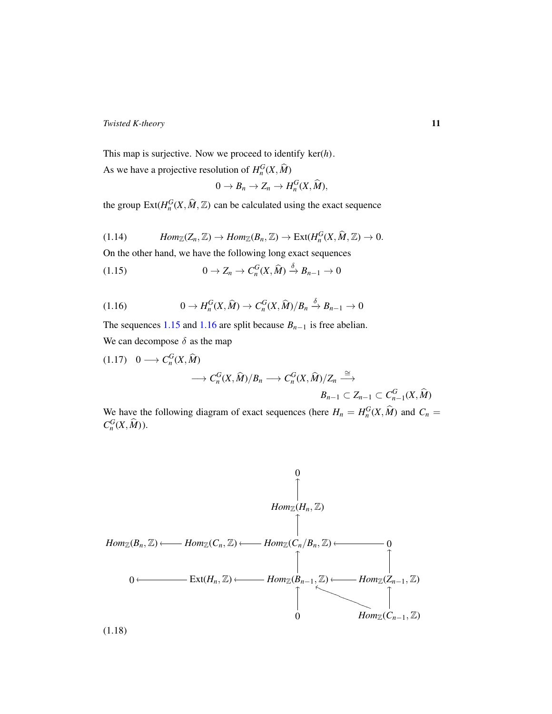This map is surjective. Now we proceed to identify ker(*h*). As we have a projective resolution of  $H_n^G(X, \hat{M})$ 

<span id="page-10-0"></span>
$$
0 \to B_n \to Z_n \to H_n^G(X, \widehat{M}),
$$

the group  $\text{Ext}(H_n^G(X, \hat{M}, \mathbb{Z})$  can be calculated using the exact sequence

<span id="page-10-2"></span>(1.14) 
$$
Hom_{\mathbb{Z}}(Z_n, \mathbb{Z}) \to Hom_{\mathbb{Z}}(B_n, \mathbb{Z}) \to Ext(H_n^G(X, \widehat{M}, \mathbb{Z}) \to 0.
$$

On the other hand, we have the following long exact sequences

$$
(1.15) \t\t 0 \to Z_n \to C_n^G(X, \widehat{M}) \stackrel{\delta}{\to} B_{n-1} \to 0
$$

<span id="page-10-1"></span>
$$
(1.16) \t\t 0 \to H_n^G(X, \widehat{M}) \to C_n^G(X, \widehat{M})/B_n \stackrel{\delta}{\to} B_{n-1} \to 0
$$

The sequences [1.15](#page-10-0) and [1.16](#page-10-1) are split because  $B_{n-1}$  is free abelian. We can decompose  $\delta$  as the map

<span id="page-10-4"></span>
$$
(1.17) \quad 0 \longrightarrow C_n^G(X, \widehat{M})
$$
  

$$
\longrightarrow C_n^G(X, \widehat{M})/B_n \longrightarrow C_n^G(X, \widehat{M})/Z_n \stackrel{\cong}{\longrightarrow}
$$
  

$$
B_{n-1} \subset Z_{n-1} \subset C_{n-1}^G(X, \widehat{M})
$$

We have the following diagram of exact sequences (here  $H_n = H_n^G(X, \hat{M})$  and  $C_n =$  $C_n^G(X, \widehat{M}))$ .

<span id="page-10-3"></span>

(1.18)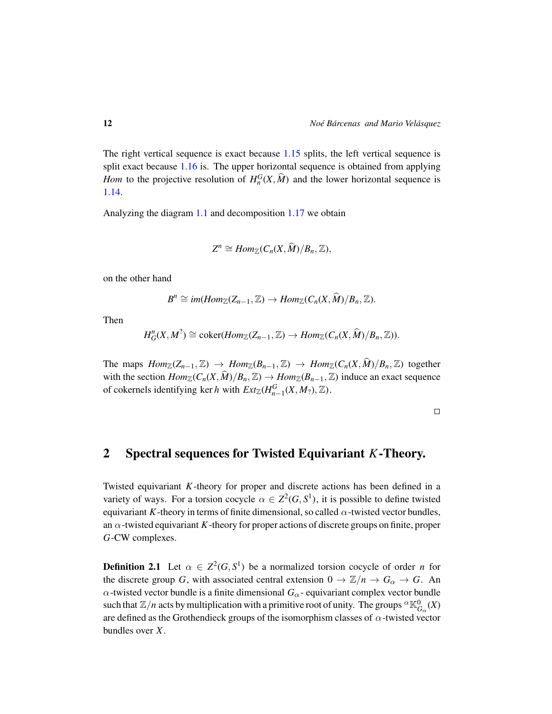The right vertical sequence is exact because [1.15](#page-10-0) splits, the left vertical sequence is split exact because [1.16](#page-10-1) is. The upper horizontal sequence is obtained from applying *Hom* to the projective resolution of  $H_n^G(X, \hat{M})$  and the lower horizontal sequence is [1.14.](#page-10-2)

Analyzing the diagram [1.1](#page-10-3) and decomposition [1.17](#page-10-4) we obtain

$$
Z^n \cong Hom_{\mathbb{Z}}(C_n(X,\widehat{M})/B_n,\mathbb{Z}),
$$

on the other hand

$$
B^n \cong im(Hom_{\mathbb{Z}}(Z_{n-1},\mathbb{Z}) \to Hom_{\mathbb{Z}}(C_n(X,\widehat{M})/B_n,\mathbb{Z}).
$$

Then

$$
H_G^n(X, M^? ) \cong \mathrm{coker}(Hom_{\mathbb{Z}}(Z_{n-1}, \mathbb{Z}) \to Hom_{\mathbb{Z}}(C_n(X, \widehat{M})/B_n, \mathbb{Z})).
$$

The maps  $Hom_{\mathbb{Z}}(Z_{n-1}, \mathbb{Z}) \to Hom_{\mathbb{Z}}(B_{n-1}, \mathbb{Z}) \to Hom_{\mathbb{Z}}(C_n(X, \widehat{M})/B_n, \mathbb{Z})$  together with the section  $Hom_{\mathbb{Z}}(C_n(X, \widehat{M})/B_n, \mathbb{Z}) \to Hom_{\mathbb{Z}}(B_{n-1}, \mathbb{Z})$  induce an exact sequence of cokernels identifying ker *h* with  $Ext_{\mathbb{Z}}(H_{n-1}^G(X, M_?), \mathbb{Z})$ .

 $\Box$ 

## 2 Spectral sequences for Twisted Equivariant *K*-Theory.

Twisted equivariant *K*-theory for proper and discrete actions has been defined in a variety of ways. For a torsion cocycle  $\alpha \in \mathbb{Z}^2(G, S^1)$ , it is possible to define twisted equivariant *K*-theory in terms of finite dimensional, so called  $\alpha$ -twisted vector bundles, an  $\alpha$ -twisted equivariant *K*-theory for proper actions of discrete groups on finite, proper *G*-CW complexes.

**Definition 2.1** Let  $\alpha \in \mathbb{Z}^2(G, S^1)$  be a normalized torsion cocycle of order *n* for the discrete group *G*, with associated central extension  $0 \to \mathbb{Z}/n \to G_\alpha \to G$ . An  $\alpha$ -twisted vector bundle is a finite dimensional  $G_{\alpha}$ - equivariant complex vector bundle such that  $\mathbb{Z}/n$  acts by multiplication with a primitive root of unity. The groups  ${}^\alpha\mathbb{K}^0_{G_\alpha}(X)$ are defined as the Grothendieck groups of the isomorphism classes of  $\alpha$ -twisted vector bundles over *X*.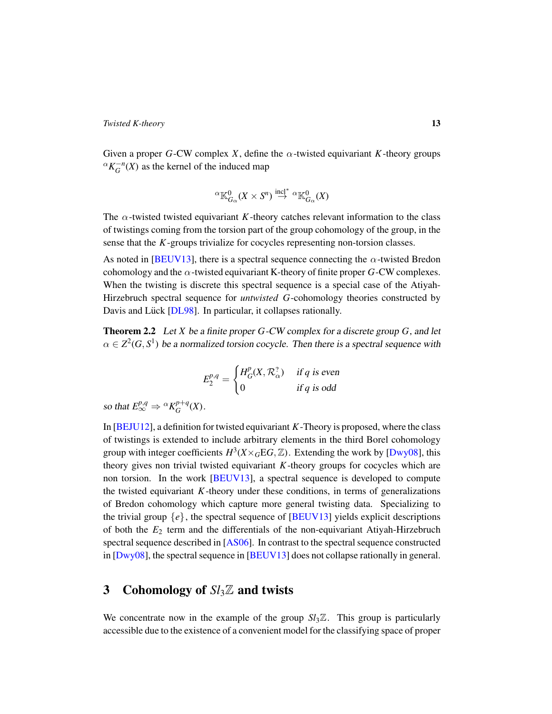Given a proper *G*-CW complex *X*, define the  $\alpha$ -twisted equivariant *K*-theory groups  ${}^{\alpha}K_G^{-n}(X)$  as the kernel of the induced map

$$
{}^{\alpha}\mathbb K_{G_{\alpha}}^0(X\times S^n)\overset{\rm incl^*}{\rightarrow}{}^{\alpha}\mathbb K_{G_{\alpha}}^0(X)
$$

The  $\alpha$ -twisted twisted equivariant *K*-theory catches relevant information to the class of twistings coming from the torsion part of the group cohomology of the group, in the sense that the *K*-groups trivialize for cocycles representing non-torsion classes.

As noted in [\[BEUV13\]](#page-30-3), there is a spectral sequence connecting the  $\alpha$ -twisted Bredon cohomology and the  $\alpha$ -twisted equivariant K-theory of finite proper *G*-CW complexes. When the twisting is discrete this spectral sequence is a special case of the Atiyah-Hirzebruch spectral sequence for *untwisted G*-cohomology theories constructed by Davis and Lück [[DL98\]](#page-30-9). In particular, it collapses rationally.

<span id="page-12-1"></span>Theorem 2.2 Let *X* be a finite proper *G*-CW complex for a discrete group *G*, and let  $\alpha \in \mathbb{Z}^2(G,S^1)$  be a normalized torsion cocycle. Then there is a spectral sequence with

$$
E_2^{p,q} = \begin{cases} H_G^p(X, \mathcal{R}_{\alpha}^?) & \text{if } q \text{ is even} \\ 0 & \text{if } q \text{ is odd} \end{cases}
$$

so that  $E^{p,q}_{\infty} \Rightarrow {}^{\alpha} K^{p+q}_{G}$  $_G^{p+q}(X)$ .

In [\[BEJU12\]](#page-30-4), a definition for twisted equivariant *K*-Theory is proposed, where the class of twistings is extended to include arbitrary elements in the third Borel cohomology group with integer coefficients  $H^3(X \times_G EG, \mathbb{Z})$ . Extending the work by [\[Dwy08\]](#page-30-5), this theory gives non trivial twisted equivariant *K*-theory groups for cocycles which are non torsion. In the work [\[BEUV13\]](#page-30-3), a spectral sequence is developed to compute the twisted equivariant  $K$ -theory under these conditions, in terms of generalizations of Bredon cohomology which capture more general twisting data. Specializing to the trivial group  $\{e\}$ , the spectral sequence of [\[BEUV13\]](#page-30-3) yields explicit descriptions of both the *E*<sup>2</sup> term and the differentials of the non-equivariant Atiyah-Hirzebruch spectral sequence described in [\[AS06\]](#page-30-10). In contrast to the spectral sequence constructed in [\[Dwy08\]](#page-30-5), the spectral sequence in [\[BEUV13\]](#page-30-3) does not collapse rationally in general.

## <span id="page-12-0"></span>3 Cohomology of  $Sl<sub>3</sub>\mathbb{Z}$  and twists

We concentrate now in the example of the group  $Sl<sub>3</sub>\mathbb{Z}$ . This group is particularly accessible due to the existence of a convenient model for the classifying space of proper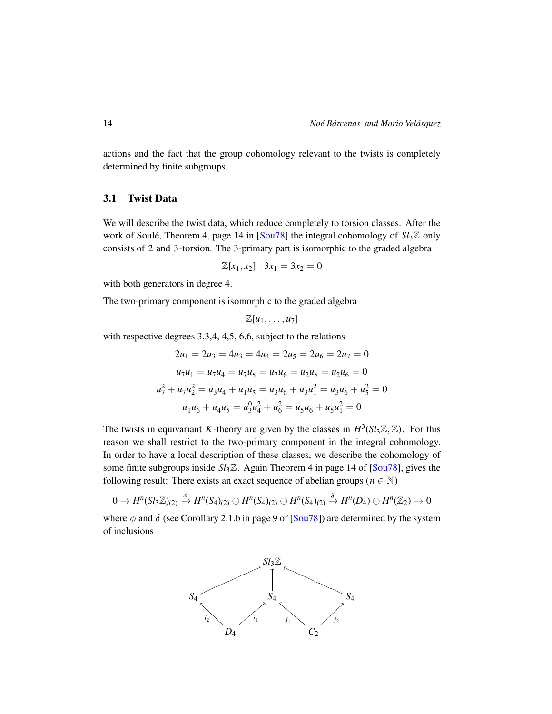actions and the fact that the group cohomology relevant to the twists is completely determined by finite subgroups.

### 3.1 Twist Data

We will describe the twist data, which reduce completely to torsion classes. After the work of Soulé, Theorem 4, page 14 in  $[$ Sou $78]$  the integral cohomology of  $S_l$ <sup> $\mathbb{Z}$ </sup> only consists of 2 and 3-torsion. The 3-primary part is isomorphic to the graded algebra

$$
\mathbb{Z}[x_1, x_2] | 3x_1 = 3x_2 = 0
$$

with both generators in degree 4.

The two-primary component is isomorphic to the graded algebra

$$
\mathbb{Z}[u_1,\ldots,u_7]
$$

with respective degrees 3,3,4, 4,5, 6,6, subject to the relations

$$
2u_1 = 2u_3 = 4u_3 = 4u_4 = 2u_5 = 2u_6 = 2u_7 = 0
$$
  

$$
u_7u_1 = u_7u_4 = u_7u_5 = u_7u_6 = u_2u_5 = u_2u_6 = 0
$$
  

$$
u_7^2 + u_7u_2^2 = u_3u_4 + u_1u_5 = u_3u_6 + u_3u_1^2 = u_3u_6 + u_5^2 = 0
$$
  

$$
u_1u_6 + u_4u_5 = u_3^0u_4^2 + u_6^2 = u_5u_6 + u_5u_1^2 = 0
$$

The twists in equivariant *K*-theory are given by the classes in  $H^3(Sl_3\mathbb{Z}, \mathbb{Z})$ . For this reason we shall restrict to the two-primary component in the integral cohomology. In order to have a local description of these classes, we describe the cohomology of some finite subgroups inside *Sl*3Z. Again Theorem 4 in page 14 of [\[Sou78\]](#page-31-0), gives the following result: There exists an exact sequence of abelian groups ( $n \in \mathbb{N}$ )

$$
0 \to H^n(Sl_3\mathbb{Z})_{(2)} \xrightarrow{\phi} H^n(S_4)_{(2)} \oplus H^n(S_4)_{(2)} \oplus H^n(S_4)_{(2)} \xrightarrow{\delta} H^n(D_4) \oplus H^n(\mathbb{Z}_2) \to 0
$$

where  $\phi$  and  $\delta$  (see Corollary 2.1.b in page 9 of [\[Sou78\]](#page-31-0)) are determined by the system of inclusions

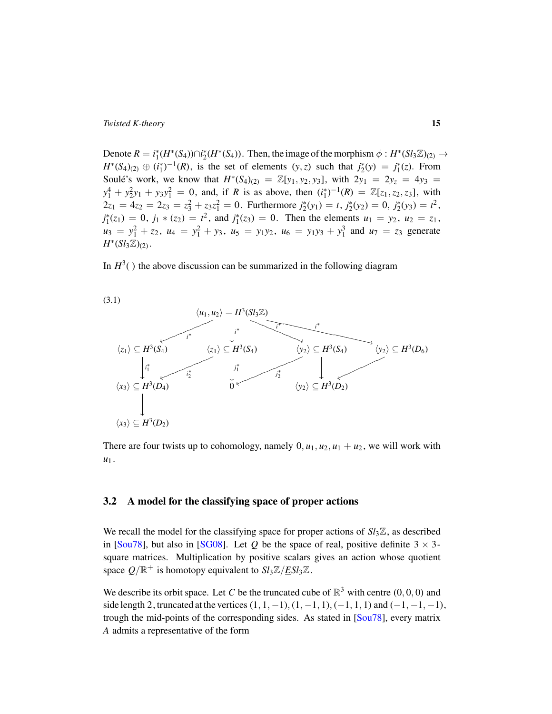Denote  $R = i_1^*(H^*(S_4)) \cap i_2^*(H^*(S_4))$ . Then, the image of the morphism  $\phi : H^*(S_i \times \mathbb{Z})_{(2)} \to$  $H^*(S_4)_{(2)} \oplus (i_1^*)^{-1}(R)$ , is the set of elements  $(y, z)$  such that  $j_2^*(y) = j_1^*(z)$ . From Soule's work, we know that  $H^*(S_4)_{(2)} = \mathbb{Z}[y_1, y_2, y_3]$ , with  $2y_1 = 2y_2 = 4y_3 = 1$  $y_1^4 + y_2^2y_1 + y_3y_1^2 = 0$ , and, if *R* is as above, then  $(i_1^*)^{-1}(R) = \mathbb{Z}[z_1, z_2, z_3]$ , with  $2z_1 = 4z_2 = 2z_3 = z_3^2 + z_3z_1^2 = 0$ . Furthermore  $j_2^*(y_1) = t$ ,  $j_2^*(y_2) = 0$ ,  $j_2^*(y_3) = t^2$ ,  $j_1^*(z_1) = 0$ ,  $j_1 * (z_2) = t^2$ , and  $j_1^*(z_3) = 0$ . Then the elements  $u_1 = y_2$ ,  $u_2 = z_1$ ,  $u_3 = y_1^2 + z_2$ ,  $u_4 = y_1^2 + y_3$ ,  $u_5 = y_1y_2$ ,  $u_6 = y_1y_3 + y_1^3$  and  $u_7 = z_3$  generate *H*<sup>\*</sup>(*Sl*<sub>3</sub>ℤ)<sub>(2)</sub>.

In  $H^3($ ) the above discussion can be summarized in the following diagram



There are four twists up to cohomology, namely  $0, u_1, u_2, u_1 + u_2$ , we will work with  $u_1$ .

## 3.2 A model for the classifying space of proper actions

We recall the model for the classifying space for proper actions of  $S_l \mathcal{Z}$ , as described in [\[Sou78\]](#page-31-0), but also in [\[SG08\]](#page-31-1). Let *Q* be the space of real, positive definite  $3 \times 3$ square matrices. Multiplication by positive scalars gives an action whose quotient space  $Q/\mathbb{R}^+$  is homotopy equivalent to  $Sl_3\mathbb{Z}/\underline{ESl_3\mathbb{Z}}$ .

We describe its orbit space. Let *C* be the truncated cube of  $\mathbb{R}^3$  with centre  $(0,0,0)$  and side length 2, truncated at the vertices  $(1, 1, -1), (1, -1, 1), (-1, 1, 1)$  and  $(-1, -1, -1),$ trough the mid-points of the corresponding sides. As stated in [\[Sou78\]](#page-31-0), every matrix *A* admits a representative of the form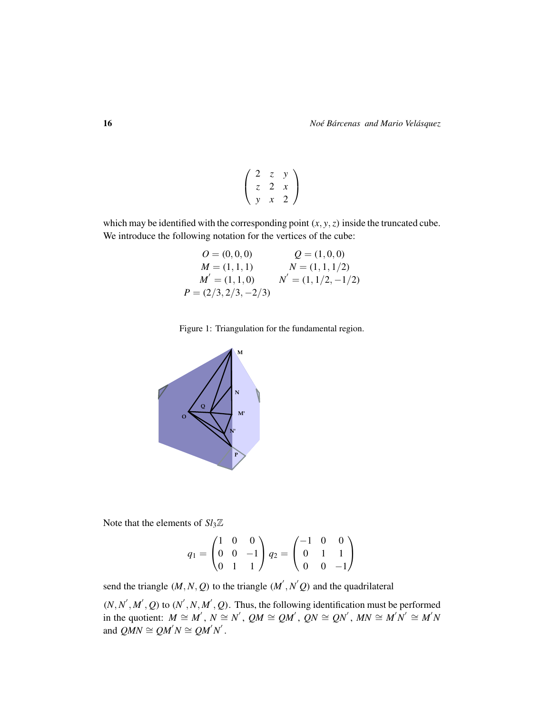$$
\left(\begin{array}{ccc} 2 & z & y \\ z & 2 & x \\ y & x & 2 \end{array}\right)
$$

which may be identified with the corresponding point  $(x, y, z)$  inside the truncated cube. We introduce the following notation for the vertices of the cube:

$$
O = (0, 0, 0)
$$
  
\n
$$
M = (1, 1, 1)
$$
  
\n
$$
M' = (1, 1, 0)
$$
  
\n
$$
P = (2/3, 2/3, -2/3)
$$
  
\n
$$
Q = (1, 0, 0)
$$
  
\n
$$
N' = (1, 1, 1/2, -1/2)
$$
  
\n
$$
P = (2/3, 2/3, -2/3)
$$





Note that the elements of  $Sl<sub>3</sub>\mathbb{Z}$ 

$$
q_1 = \begin{pmatrix} 1 & 0 & 0 \\ 0 & 0 & -1 \\ 0 & 1 & 1 \end{pmatrix} q_2 = \begin{pmatrix} -1 & 0 & 0 \\ 0 & 1 & 1 \\ 0 & 0 & -1 \end{pmatrix}
$$

send the triangle  $(M, N, Q)$  to the triangle  $(M', N'Q)$  and the quadrilateral

 $(N, N', M', Q)$  to  $(N', N, M', Q)$ . Thus, the following identification must be performed in the quotient:  $M \cong M'$ ,  $N \cong N'$ ,  $QM \cong QM'$ ,  $QN \cong QN'$ ,  $MN \cong M'N' \cong M'N$ and  $QMN \cong QM'N \cong QM'N'$ .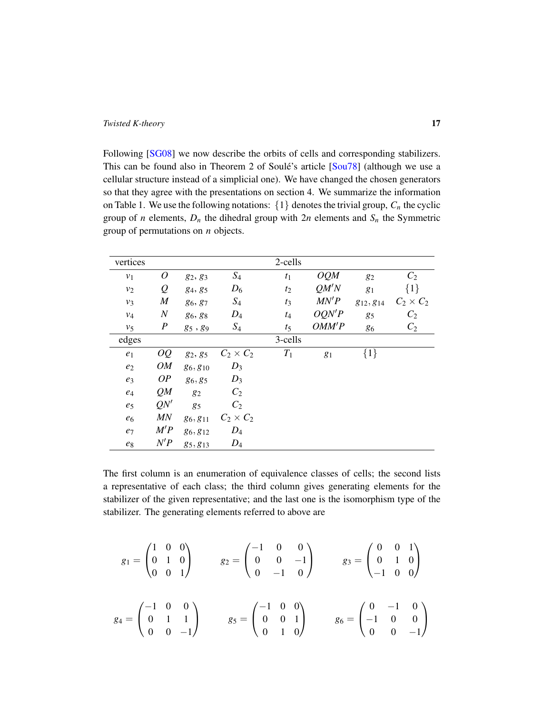Following [\[SG08\]](#page-31-1) we now describe the orbits of cells and corresponding stabilizers. This can be found also in Theorem 2 of Soulé's article  $[$ Sou $78]$  (although we use a cellular structure instead of a simplicial one). We have changed the chosen generators so that they agree with the presentations on section 4. We summarize the information on Table 1. We use the following notations:  $\{1\}$  denotes the trivial group,  $C_n$  the cyclic group of *n* elements,  $D_n$  the dihedral group with  $2n$  elements and  $S_n$  the Symmetric group of permutations on *n* objects.

| vertices       |                  |            |                  | 2-cells        |       |                |                  |
|----------------|------------------|------------|------------------|----------------|-------|----------------|------------------|
| v <sub>1</sub> | $\overline{O}$   | 82, 83     | $S_4$            | t <sub>1</sub> | OQM   | 82             | C <sub>2</sub>   |
| $v_2$          | Q                | 84, 85     | $D_6$            | $t_2$          | QM'N  | g <sub>1</sub> | $\{1\}$          |
| $v_3$          | $\boldsymbol{M}$ | 86, 87     | $S_4$            | $t_3$          | MN'P  | 812, 814       | $C_2 \times C_2$ |
| $v_4$          | $\boldsymbol{N}$ | 86, 88     | $D_4$            | $t_4$          | OQN'P | 85             | C <sub>2</sub>   |
| $v_5$          | $\boldsymbol{P}$ | $g_5, g_9$ | $S_4$            | $t_5$          | OMM'P | 86             | $C_2$            |
| edges          |                  |            |                  | 3-cells        |       |                |                  |
| $e_1$          | OQ               | 82, 85     | $C_2 \times C_2$ | $T_1$          | $g_1$ | $\{1\}$        |                  |
| e <sub>2</sub> | <b>OM</b>        | 86,810     | $D_3$            |                |       |                |                  |
| $e_3$          | OP               | 86,85      | $D_3$            |                |       |                |                  |
| $e_4$          | QM               | 82         | C <sub>2</sub>   |                |       |                |                  |
| e <sub>5</sub> | QN'              | 85         | $C_2$            |                |       |                |                  |
| $e_6$          | MN               | 86, 811    | $C_2 \times C_2$ |                |       |                |                  |
| $e_7$          | M'P              | 86,812     | $D_4$            |                |       |                |                  |
| $e_8$          | N'P              | 85, 813    | $D_4$            |                |       |                |                  |

The first column is an enumeration of equivalence classes of cells; the second lists a representative of each class; the third column gives generating elements for the stabilizer of the given representative; and the last one is the isomorphism type of the stabilizer. The generating elements referred to above are

$$
g_1 = \begin{pmatrix} 1 & 0 & 0 \\ 0 & 1 & 0 \\ 0 & 0 & 1 \end{pmatrix} \qquad g_2 = \begin{pmatrix} -1 & 0 & 0 \\ 0 & 0 & -1 \\ 0 & -1 & 0 \end{pmatrix} \qquad g_3 = \begin{pmatrix} 0 & 0 & 1 \\ 0 & 1 & 0 \\ -1 & 0 & 0 \end{pmatrix}
$$

$$
g_4 = \begin{pmatrix} -1 & 0 & 0 \\ 0 & 1 & 1 \\ 0 & 0 & -1 \end{pmatrix} \qquad g_5 = \begin{pmatrix} -1 & 0 & 0 \\ 0 & 0 & 1 \\ 0 & 1 & 0 \end{pmatrix} \qquad g_6 = \begin{pmatrix} 0 & -1 & 0 \\ -1 & 0 & 0 \\ 0 & 0 & -1 \end{pmatrix}
$$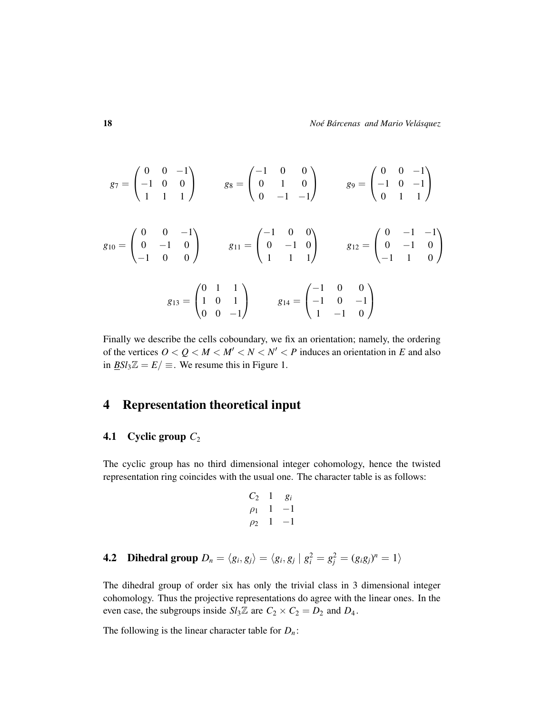$$
g_7 = \begin{pmatrix} 0 & 0 & -1 \\ -1 & 0 & 0 \\ 1 & 1 & 1 \end{pmatrix} \qquad g_8 = \begin{pmatrix} -1 & 0 & 0 \\ 0 & 1 & 0 \\ 0 & -1 & -1 \end{pmatrix} \qquad g_9 = \begin{pmatrix} 0 & 0 & -1 \\ -1 & 0 & -1 \\ 0 & 1 & 1 \end{pmatrix}
$$

$$
g_{10} = \begin{pmatrix} 0 & 0 & -1 \\ 0 & -1 & 0 \\ -1 & 0 & 0 \end{pmatrix} \qquad g_{11} = \begin{pmatrix} -1 & 0 & 0 \\ 0 & -1 & 0 \\ 1 & 1 & 1 \end{pmatrix} \qquad g_{12} = \begin{pmatrix} 0 & -1 & -1 \\ 0 & -1 & 0 \\ -1 & 1 & 0 \end{pmatrix}
$$

$$
g_{13} = \begin{pmatrix} 0 & 1 & 1 \\ 1 & 0 & 1 \\ 0 & 0 & -1 \end{pmatrix} \qquad g_{14} = \begin{pmatrix} -1 & 0 & 0 \\ -1 & 0 & -1 \\ 1 & -1 & 0 \end{pmatrix}
$$

Finally we describe the cells coboundary, we fix an orientation; namely, the ordering of the vertices  $0 < Q < M < M' < N < N' < P$  induces an orientation in E and also in  $\underline{B}Sl_3\mathbb{Z} = E/\equiv$ . We resume this in Figure 1.

## <span id="page-17-0"></span>4 Representation theoretical input

## 4.1 Cyclic group  $C_2$

The cyclic group has no third dimensional integer cohomology, hence the twisted representation ring coincides with the usual one. The character table is as follows:

$$
C_2
$$
 1  $g_i$   
\n $\rho_1$  1 -1  
\n $\rho_2$  1 -1

**4.2** Dihedral group 
$$
D_n = \langle g_i, g_j \rangle = \langle g_i, g_j | g_i^2 = g_j^2 = (g_i g_j)^n = 1 \rangle
$$

The dihedral group of order six has only the trivial class in 3 dimensional integer cohomology. Thus the projective representations do agree with the linear ones. In the even case, the subgroups inside  $Sl_3\mathbb{Z}$  are  $C_2 \times C_2 = D_2$  and  $D_4$ .

The following is the linear character table for  $D_n$ :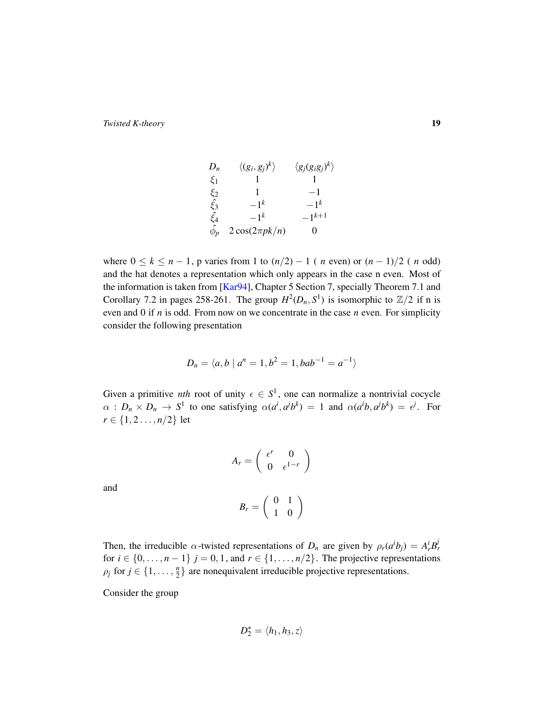$$
D_n \quad \langle (g_i, g_j)^k \rangle \quad \langle g_j (g_i g_j)^k \rangle
$$
  
\n
$$
\xi_1 \quad 1 \quad 1
$$
  
\n
$$
\xi_2 \quad 1 \quad -1
$$
  
\n
$$
\xi_3 \quad -1^k \quad -1^k
$$
  
\n
$$
\xi_4 \quad -1^k \quad -1^{k+1}
$$
  
\n
$$
\hat{\phi}_p \quad 2 \cos(2\pi p k/n) \quad 0
$$

where  $0 \le k \le n - 1$ , p varies from 1 to  $(n/2) - 1$  (*n* even) or  $(n - 1)/2$  (*n* odd) and the hat denotes a representation which only appears in the case n even. Most of the information is taken from [\[Kar94\]](#page-30-8), Chapter 5 Section 7, specially Theorem 7.1 and Corollary 7.2 in pages 258-261. The group  $H^2(D_n, S^1)$  is isomorphic to  $\mathbb{Z}/2$  if n is even and 0 if *n* is odd. From now on we concentrate in the case *n* even. For simplicity consider the following presentation

$$
D_n = \langle a, b \mid a^n = 1, b^2 = 1, bab^{-1} = a^{-1} \rangle
$$

Given a primitive *nth* root of unity  $\epsilon \in S^1$ , one can normalize a nontrivial cocycle  $\alpha : D_n \times D_n \to S^1$  to one satisfying  $\alpha(a^i, a^j b^k) = 1$  and  $\alpha(a^i b, a^j b^k) = e^j$ . For *r* ∈ {1, 2..., *n*/2} let

$$
A_r = \left(\begin{array}{cc} \epsilon^r & 0\\ 0 & \epsilon^{1-r} \end{array}\right)
$$

and

$$
B_r = \left(\begin{array}{cc} 0 & 1 \\ 1 & 0 \end{array}\right)
$$

Then, the irreducible  $\alpha$ -twisted representations of  $D_n$  are given by  $\rho_r(a^i b_j) = A_r^i B_r^j$ for  $i \in \{0, \ldots, n-1\}$   $j = 0, 1$ , and  $r \in \{1, \ldots, n/2\}$ . The projective representations  $\rho_j$  for  $j \in \{1, \ldots, \frac{n}{2}\}$  $\frac{n}{2}$  are nonequivalent irreducible projective representations.

Consider the group

$$
D_2^*=\langle h_1,h_3,z\rangle
$$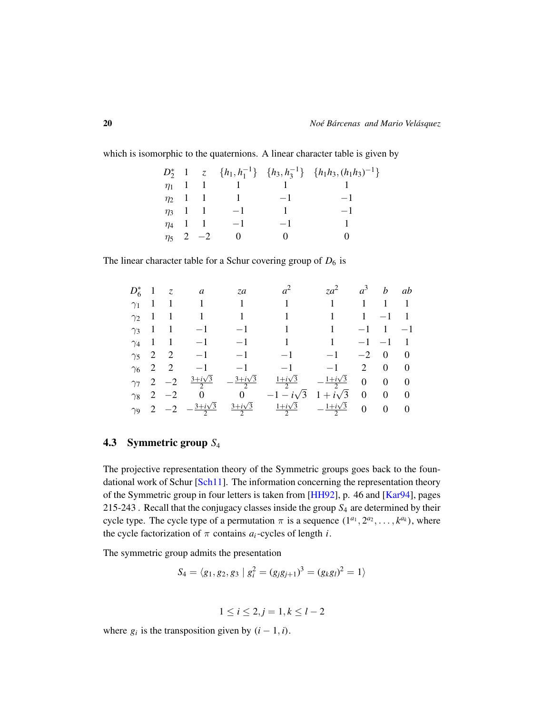which is isomorphic to the quaternions. A linear character table is given by

*D* ∗ 2 1 *z* { $h_1, h_1^{-1}$ } { $h_3, h_3^{-1}$ } { $h_1h_3, (h_1h_3)^{-1}$ }  $\eta_1$  1 1 1 1 1 1  $\eta_2$  1 1 1 −1 −1  $\eta_3$  1 1 −1 1 −1  $\eta_4$  1 1 −1 −1 1  $\eta_5$  2 −2 0 0 0

The linear character table for a Schur covering group of  $D_6$  is

|  |                   |  | $D_6^*$ 1 z a za $a^2$ za <sup>2</sup> $a^3$ b ab                                                                       |  |  |
|--|-------------------|--|-------------------------------------------------------------------------------------------------------------------------|--|--|
|  |                   |  |                                                                                                                         |  |  |
|  |                   |  | $\gamma_2$ 1 1 1 1 1 1 1 1 1 1                                                                                          |  |  |
|  |                   |  | $\gamma_3$ 1 1 -1 -1 1 1 -1 1 -1                                                                                        |  |  |
|  |                   |  | $\gamma_4$ 1 1 -1 -1 1 1 -1 -1 1                                                                                        |  |  |
|  |                   |  | $\gamma_5$ 2 2 -1 -1 -1 -1 -2 0 0                                                                                       |  |  |
|  |                   |  | $\gamma_6$ 2 2 -1 -1 -1 -1 2 0 0                                                                                        |  |  |
|  | $\gamma_7$ 2 $-2$ |  | $rac{3+i\sqrt{3}}{2}$ $-\frac{3+i\sqrt{3}}{2}$ $\frac{1+i\sqrt{3}}{2}$ $-\frac{1+i\sqrt{3}}{2}$ 0 0 0                   |  |  |
|  |                   |  | $\gamma_8$ 2 -2 0 0 -1 - $i\sqrt{3}$ 1 + $i\sqrt{3}$ 0 0 0                                                              |  |  |
|  |                   |  | $\gamma_9$ 2 -2 $-\frac{3+i\sqrt{3}}{2}$ $\frac{3+i\sqrt{3}}{2}$ $\frac{1+i\sqrt{3}}{2}$ $-\frac{1+i\sqrt{3}}{2}$ 0 0 0 |  |  |

### 4.3 Symmetric group *S*<sup>4</sup>

The projective representation theory of the Symmetric groups goes back to the foun-dational work of Schur [\[Sch11\]](#page-31-2). The information concerning the representation theory of the Symmetric group in four letters is taken from [\[HH92\]](#page-30-11), p. 46 and [\[Kar94\]](#page-30-8), pages 215-243 . Recall that the conjugacy classes inside the group *S*<sup>4</sup> are determined by their cycle type. The cycle type of a permutation  $\pi$  is a sequence  $(1^{a_1}, 2^{a_2}, \ldots, k^{a_k})$ , where the cycle factorization of  $\pi$  contains  $a_i$ -cycles of length *i*.

The symmetric group admits the presentation

$$
S_4 = \langle g_1, g_2, g_3 \mid g_i^2 = (g_j g_{j+1})^3 = (g_k g_l)^2 = 1 \rangle
$$

$$
1 \leq i \leq 2, j = 1, k \leq l-2
$$

where  $g_i$  is the transposition given by  $(i - 1, i)$ .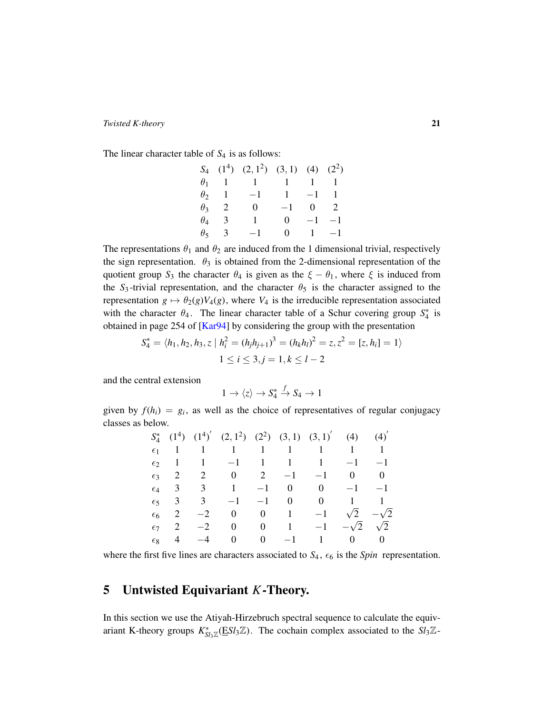The linear character table of  $S_4$  is as follows:

|              |                 | $S_4$ (1 <sup>4</sup> ) (2, 1 <sup>2</sup> ) (3, 1) (4) (2 <sup>2</sup> ) |          |                |  |
|--------------|-----------------|---------------------------------------------------------------------------|----------|----------------|--|
|              |                 | $\theta_1$ 1 1 1 1 1                                                      |          |                |  |
|              | $\theta_2$ 1 -1 |                                                                           | $1 -1$ 1 |                |  |
|              | $\theta_3$ 2    | 0                                                                         | $-1$ 0 2 |                |  |
| $\theta_4$ 3 |                 | 1                                                                         |          | $0 -1 -1$      |  |
|              | $\theta_5$ 3    | $-1$                                                                      |          | $0 \t 1 \t -1$ |  |

The representations  $\theta_1$  and  $\theta_2$  are induced from the 1 dimensional trivial, respectively the sign representation.  $\theta_3$  is obtained from the 2-dimensional representation of the quotient group  $S_3$  the character  $\theta_4$  is given as the  $\xi - \theta_1$ , where  $\xi$  is induced from the  $S_3$ -trivial representation, and the character  $\theta_5$  is the character assigned to the representation  $g \mapsto \theta_2(g)V_4(g)$ , where  $V_4$  is the irreducible representation associated with the character  $\theta_4$ . The linear character table of a Schur covering group  $S_4^*$  is obtained in page 254 of  $[Kar94]$  by considering the group with the presentation

$$
S_4^* = \langle h_1, h_2, h_3, z \mid h_i^2 = (h_j h_{j+1})^3 = (h_k h_l)^2 = z, z^2 = [z, h_i] = 1 \rangle
$$
  

$$
1 \le i \le 3, j = 1, k \le l - 2
$$

and the central extension

$$
1 \to \langle z \rangle \to S_4^* \xrightarrow{f} S_4 \to 1
$$

given by  $f(h_i) = g_i$ , as well as the choice of representatives of regular conjugacy classes as below.

|              |                         |      | $S_4^*$ (1 <sup>4</sup> ) (1 <sup>4</sup> )' (2, 1 <sup>2</sup> ) (2 <sup>2</sup> ) (3, 1) (3, 1)' (4) (4)' |                                 |                                 |                        |      |
|--------------|-------------------------|------|-------------------------------------------------------------------------------------------------------------|---------------------------------|---------------------------------|------------------------|------|
|              |                         |      | $\epsilon_1$ 1 1 1 1 1 1 1 1 1                                                                              |                                 |                                 |                        |      |
|              |                         |      | $\epsilon_2$ 1 1 -1 1 1 1                                                                                   |                                 |                                 | $-1$                   | $-1$ |
| $\epsilon$ 3 | 2                       |      | 2 0 2 $-1$ $-1$                                                                                             |                                 |                                 | $0 \qquad 0$           |      |
|              | $\epsilon_4$ 3          |      | $3 \t 1 \t -1$                                                                                              |                                 | $0 \t 0 \t -1 \t -1$            |                        |      |
| $\epsilon$   | $\overline{\mathbf{3}}$ |      | $3 \t -1 \t -1$                                                                                             |                                 | $0 \qquad 0 \qquad 1 \qquad 1$  |                        |      |
| $\epsilon$ 6 |                         |      | $-2$ 0 0 1 $-1$                                                                                             |                                 |                                 | $\sqrt{2}$ $-\sqrt{2}$ |      |
| $\epsilon$ 7 | 2                       | $-2$ | $\overline{0}$                                                                                              |                                 | 0 1 $-1$ $-\sqrt{2}$ $\sqrt{2}$ |                        |      |
| $\epsilon$   | $\overline{4}$          | $-4$ | $\mathbf{0}$                                                                                                | $\begin{matrix} 0 \end{matrix}$ | $-1$ 1 0 0                      |                        |      |

where the first five lines are characters associated to  $S_4$ ,  $\epsilon_6$  is the *Spin* representation.

## <span id="page-20-0"></span>5 Untwisted Equivariant *K*-Theory.

In this section we use the Atiyah-Hirzebruch spectral sequence to calculate the equivariant K-theory groups  $K_{Sl_3\mathbb{Z}}^*(ESl_3\mathbb{Z})$ . The cochain complex associated to the  $Sl_3\mathbb{Z}$ -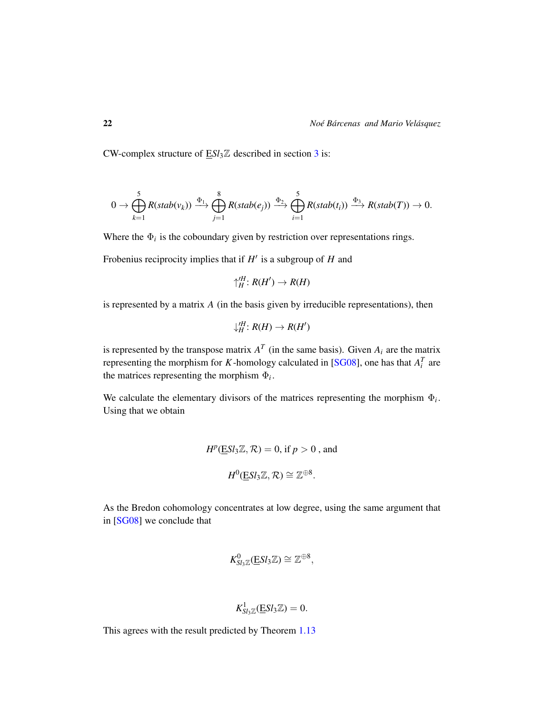CW-complex structure of E*Sl*3Z described in section [3](#page-12-0) is:

$$
0 \to \bigoplus_{k=1}^5 R(stab(v_k)) \xrightarrow{\Phi_1} \bigoplus_{j=1}^8 R(stab(e_j)) \xrightarrow{\Phi_2} \bigoplus_{i=1}^5 R(stab(t_i)) \xrightarrow{\Phi_3} R(stab(T)) \to 0.
$$

Where the  $\Phi_i$  is the coboundary given by restriction over representations rings.

Frobenius reciprocity implies that if  $H'$  is a subgroup of  $H$  and

$$
\uparrow^{\prime H}_H: R(H') \to R(H)
$$

is represented by a matrix *A* (in the basis given by irreducible representations), then

$$
\downarrow_H^{\prime H}: R(H) \rightarrow R(H')
$$

is represented by the transpose matrix  $A<sup>T</sup>$  (in the same basis). Given  $A<sub>i</sub>$  are the matrix representing the morphism for *K*-homology calculated in [\[SG08\]](#page-31-1), one has that  $A_i^T$  are the matrices representing the morphism  $\Phi_i$ .

We calculate the elementary divisors of the matrices representing the morphism  $\Phi_i$ . Using that we obtain

$$
H^p(\underline{E}Sl_3\mathbb{Z}, \mathcal{R}) = 0, \text{ if } p > 0 \text{ , and}
$$
  

$$
H^0(\underline{E}Sl_3\mathbb{Z}, \mathcal{R}) \cong \mathbb{Z}^{\oplus 8}.
$$

As the Bredon cohomology concentrates at low degree, using the same argument that in [\[SG08\]](#page-31-1) we conclude that

$$
K^0_{Sl_3\mathbb{Z}}(\underline{E}Sl_3\mathbb{Z})\cong \mathbb{Z}^{\oplus 8},
$$

$$
K^1_{Sl_3\mathbb{Z}}(\underline{E}Sl_3\mathbb{Z})=0.
$$

This agrees with the result predicted by Theorem [1.13](#page-8-0)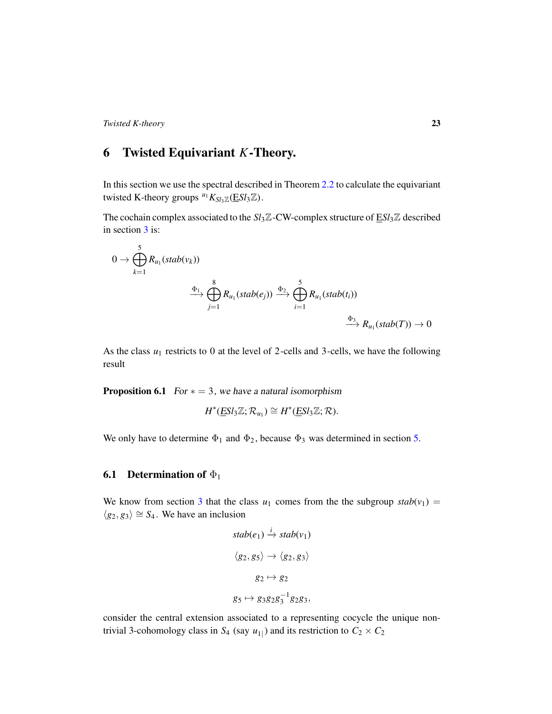## 6 Twisted Equivariant *K*-Theory.

In this section we use the spectral described in Theorem [2.2](#page-12-1) to calculate the equivariant twisted K-theory groups  $u_1 K_{Sl_3 \mathbb{Z}}(\underline{E} Sl_3 \mathbb{Z})$ .

The cochain complex associated to the *Sl*3Z-CW-complex structure of E*Sl*3Z described in section [3](#page-12-0) is:

$$
0 \to \bigoplus_{k=1}^{5} R_{u_1}(stab(v_k))
$$
  

$$
\xrightarrow{\Phi_1} \bigoplus_{j=1}^{8} R_{u_1}(stab(e_j)) \xrightarrow{\Phi_2} \bigoplus_{i=1}^{5} R_{u_1}(stab(t_i))
$$
  

$$
\xrightarrow{\Phi_3} R_{u_1}(stab(T)) \to 0
$$

As the class  $u_1$  restricts to 0 at the level of 2-cells and 3-cells, we have the following result

**Proposition 6.1** For  $* = 3$ , we have a natural isomorphism

$$
H^*(\underline{ESl}_3\mathbb{Z};\mathcal{R}_{u_1})\cong H^*(\underline{ESl}_3\mathbb{Z};\mathcal{R}).
$$

We only have to determine  $\Phi_1$  and  $\Phi_2$ , because  $\Phi_3$  was determined in section [5.](#page-20-0)

### **6.1** Determination of  $\Phi_1$

We know from section [3](#page-12-0) that the class  $u_1$  comes from the the subgroup  $stab(v_1)$  =  $\langle g_2, g_3 \rangle \cong S_4$ . We have an inclusion

$$
stab(e_1) \stackrel{i}{\rightarrow} stab(v_1)
$$
  

$$
\langle g_2, g_5 \rangle \rightarrow \langle g_2, g_3 \rangle
$$
  

$$
g_2 \mapsto g_2
$$
  

$$
g_5 \mapsto g_3g_2g_3^{-1}g_2g_3,
$$

consider the central extension associated to a representing cocycle the unique nontrivial 3-cohomology class in  $S_4$  (say  $u_{1|}$ ) and its restriction to  $C_2 \times C_2$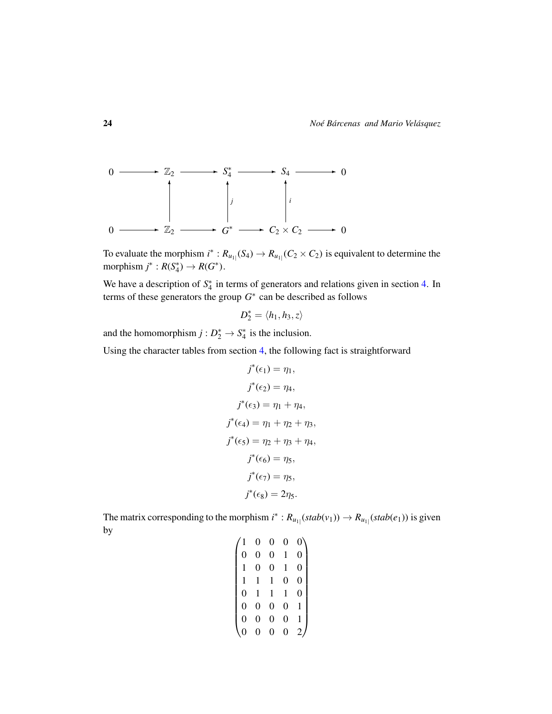

To evaluate the morphism  $i^*$ :  $R_{u_{1}}(S_4) \to R_{u_{1}}(C_2 \times C_2)$  is equivalent to determine the morphism  $j^*$  :  $R(S_4^*) \to R(G^*)$ .

We have a description of  $S_4^*$  in terms of generators and relations given in section [4.](#page-17-0) In terms of these generators the group  $G^*$  can be described as follows

$$
D_2^* = \langle h_1, h_3, z \rangle
$$

and the homomorphism  $j: D_2^* \to S_4^*$  is the inclusion.

Using the character tables from section [4,](#page-17-0) the following fact is straightforward

$$
j^{*}(\epsilon_{1}) = \eta_{1},
$$
  
\n
$$
j^{*}(\epsilon_{2}) = \eta_{4},
$$
  
\n
$$
j^{*}(\epsilon_{3}) = \eta_{1} + \eta_{4},
$$
  
\n
$$
j^{*}(\epsilon_{4}) = \eta_{1} + \eta_{2} + \eta_{3},
$$
  
\n
$$
j^{*}(\epsilon_{5}) = \eta_{2} + \eta_{3} + \eta_{4},
$$
  
\n
$$
j^{*}(\epsilon_{6}) = \eta_{5},
$$
  
\n
$$
j^{*}(\epsilon_{7}) = \eta_{5},
$$
  
\n
$$
j^{*}(\epsilon_{8}) = 2\eta_{5}.
$$

The matrix corresponding to the morphism  $i^*$ :  $R_{u_{1}}(stab(v_1)) \to R_{u_{1}}(stab(e_1))$  is given by

|                | 0              | 0              | 0              |                |
|----------------|----------------|----------------|----------------|----------------|
| 0              | 0              | $\overline{0}$ | 1              | 0              |
| 1              | 0              | 0              | 1              | $\overline{0}$ |
| $\mathbf{1}$   | 1              | 1              | 0              | $\overline{0}$ |
| $\overline{0}$ | 1              | 1              | 1              | 0              |
| $\overline{0}$ | $\overline{0}$ | $\overline{0}$ | 0              |                |
| 0              | 0              | 0              | $\overline{0}$ |                |
|                | O              | J              | 0              |                |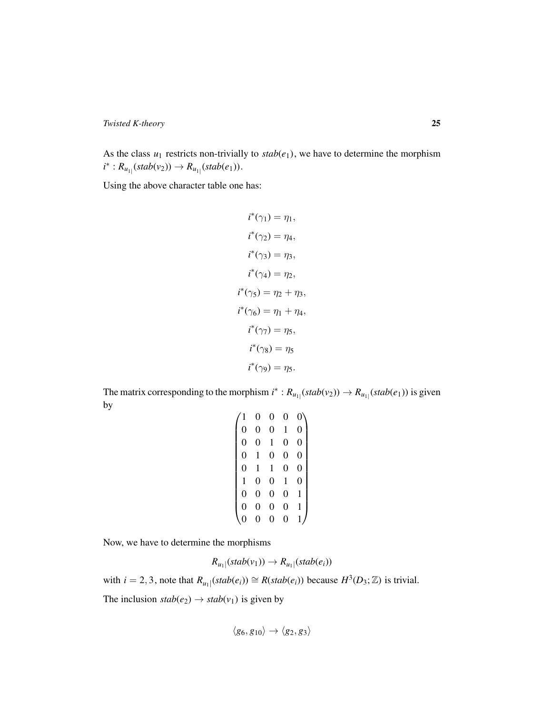As the class  $u_1$  restricts non-trivially to  $stab(e_1)$ , we have to determine the morphism  $i^*$  :  $R_{u_{1}|}$ (stab(*v*<sub>2</sub>))  $\to$   $R_{u_{1}|}$ (stab(*e*<sub>1</sub>)).

Using the above character table one has:

$$
i^*(\gamma_1) = \eta_1,
$$
  
\n
$$
i^*(\gamma_2) = \eta_4,
$$
  
\n
$$
i^*(\gamma_3) = \eta_3,
$$
  
\n
$$
i^*(\gamma_4) = \eta_2,
$$
  
\n
$$
i^*(\gamma_5) = \eta_2 + \eta_3,
$$
  
\n
$$
i^*(\gamma_6) = \eta_1 + \eta_4,
$$
  
\n
$$
i^*(\gamma_7) = \eta_5,
$$
  
\n
$$
i^*(\gamma_8) = \eta_5
$$
  
\n
$$
i^*(\gamma_9) = \eta_5.
$$

The matrix corresponding to the morphism  $i^*$ :  $R_{u_{1}}(stab(v_2)) \rightarrow R_{u_{1}}(stab(e_1))$  is given by

|                | 0 | 0              |                |                  |
|----------------|---|----------------|----------------|------------------|
| 0              | 0 | 0              | 1              | 0                |
| $\overline{0}$ | 0 | 1              | $\overline{0}$ | $\overline{0}$   |
| $\overline{0}$ | 1 | 0              | $\overline{0}$ | $\boldsymbol{0}$ |
| $\overline{0}$ | 1 | 1              | 0              | $\overline{0}$   |
| $\mathbf{1}$   | 0 | $\overline{0}$ | 1              | $\overline{0}$   |
| $\overline{0}$ | 0 | $\overline{0}$ | 0              | 1                |
| $\overline{0}$ | 0 | 0              | 0              | 1                |
|                | 0 | 0              | 0              |                  |
|                |   |                |                |                  |

Now, we have to determine the morphisms

$$
R_{u_1|}(stab(v_1)) \to R_{u_1|}(stab(e_i))
$$

with  $i = 2, 3$ , note that  $R_{u_1}$  ( $stab(e_i)$ )  $\cong R(state(e_i))$  because  $H^3(D_3; \mathbb{Z})$  is trivial.

The inclusion  $stab(e_2) \rightarrow stab(v_1)$  is given by

 $\langle g_6, g_{10} \rangle \rightarrow \langle g_2, g_3 \rangle$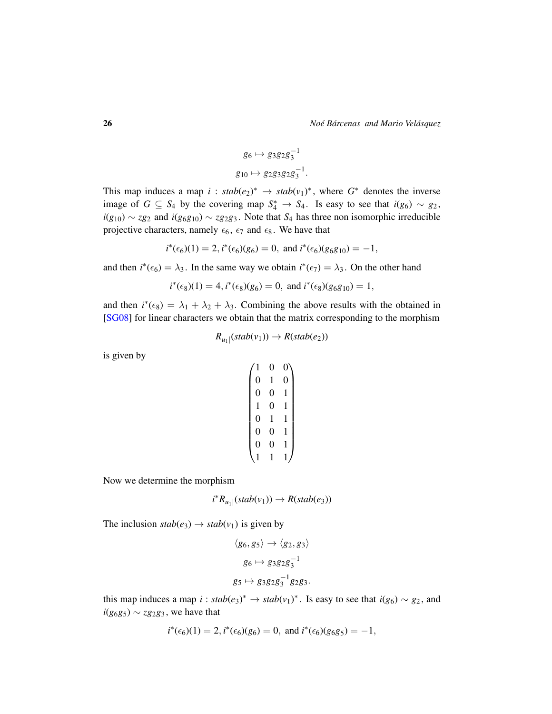$$
g_6 \mapsto g_3 g_2 g_3^{-1}
$$

$$
g_{10} \mapsto g_2 g_3 g_2 g_3^{-1}.
$$

This map induces a map  $i : stab(e_2)^* \rightarrow stab(v_1)^*$ , where  $G^*$  denotes the inverse image of *G* ⊆ *S*<sub>4</sub> by the covering map  $S_4^*$  → *S*<sub>4</sub>. Is easy to see that *i*(*g*<sub>6</sub>) ~ *g*<sub>2</sub>, *i*( $g_{10}$ ) ∼ *zg*<sub>2</sub> and *i*( $g_{6}g_{10}$ ) ∼ *zg*<sub>2</sub> $g_{3}$ . Note that *S*<sub>4</sub> has three non isomorphic irreducible projective characters, namely  $\epsilon_6$ ,  $\epsilon_7$  and  $\epsilon_8$ . We have that

$$
i^*(\epsilon_6)(1) = 2
$$
,  $i^*(\epsilon_6)(g_6) = 0$ , and  $i^*(\epsilon_6)(g_6g_{10}) = -1$ ,

and then  $i^*(\epsilon_6) = \lambda_3$ . In the same way we obtain  $i^*(\epsilon_7) = \lambda_3$ . On the other hand

$$
i^*(\epsilon_8)(1) = 4
$$
,  $i^*(\epsilon_8)(g_6) = 0$ , and  $i^*(\epsilon_8)(g_6g_{10}) = 1$ ,

and then  $i^*(\epsilon_8) = \lambda_1 + \lambda_2 + \lambda_3$ . Combining the above results with the obtained in [\[SG08\]](#page-31-1) for linear characters we obtain that the matrix corresponding to the morphism

$$
R_{u_1|}(stab(v_1)) \to R(state_2))
$$

is given by

$$
\begin{pmatrix} 1 & 0 & 0 \\ 0 & 1 & 0 \\ 0 & 0 & 1 \\ 1 & 0 & 1 \\ 0 & 1 & 1 \\ 0 & 0 & 1 \\ 0 & 0 & 1 \\ 1 & 1 & 1 \end{pmatrix}
$$

Now we determine the morphism

$$
i^*R_{u_1|}(stab(v_1)) \to R(state_3))
$$

The inclusion  $stab(e_3) \rightarrow stab(v_1)$  is given by

$$
\langle g_6, g_5 \rangle \rightarrow \langle g_2, g_3 \rangle
$$
  

$$
g_6 \mapsto g_3 g_2 g_3^{-1}
$$
  

$$
g_5 \mapsto g_3 g_2 g_3^{-1} g_2 g_3.
$$

this map induces a map *i* :  $stab(e_3)^* \rightarrow stab(v_1)^*$ . Is easy to see that  $i(g_6) \sim g_2$ , and *i*( $g_6g_5$ ) ∼ *zg*<sub>2</sub> $g_3$ , we have that

$$
i^*(\epsilon_6)(1) = 2
$$
,  $i^*(\epsilon_6)(g_6) = 0$ , and  $i^*(\epsilon_6)(g_6g_5) = -1$ ,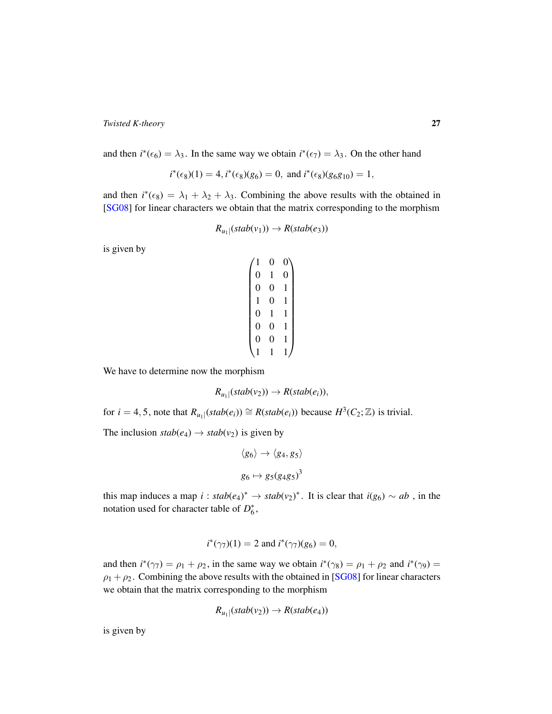and then  $i^*(\epsilon_6) = \lambda_3$ . In the same way we obtain  $i^*(\epsilon_7) = \lambda_3$ . On the other hand

$$
i^*(\epsilon_8)(1) = 4, i^*(\epsilon_8)(g_6) = 0
$$
, and  $i^*(\epsilon_8)(g_6g_{10}) = 1$ ,

and then  $i^*(\epsilon_8) = \lambda_1 + \lambda_2 + \lambda_3$ . Combining the above results with the obtained in [\[SG08\]](#page-31-1) for linear characters we obtain that the matrix corresponding to the morphism

$$
R_{u_1|}(stab(v_1)) \to R(state_3))
$$

is given by

$$
\begin{pmatrix} 1 & 0 & 0 \\ 0 & 1 & 0 \\ 0 & 0 & 1 \\ 1 & 0 & 1 \\ 0 & 1 & 1 \\ 0 & 0 & 1 \\ 0 & 0 & 1 \\ 1 & 1 & 1 \end{pmatrix}
$$

We have to determine now the morphism

$$
R_{u_1|}(stab(v_2)) \rightarrow R(state(e_i)),
$$

for  $i = 4, 5$ , note that  $R_{u_1}$  ( $stab(e_i)$ )  $\cong R(state(e_i))$  because  $H^3(C_2; \mathbb{Z})$  is trivial.

The inclusion  $stab(e_4) \rightarrow stab(v_2)$  is given by

$$
\langle g_6 \rangle \rightarrow \langle g_4, g_5 \rangle
$$

$$
g_6 \mapsto g_5 (g_4 g_5)^3
$$

this map induces a map  $i : stab(e_4)^* \rightarrow stab(v_2)^*$ . It is clear that  $i(g_6) \sim ab$ , in the notation used for character table of  $D_6^*$ ,

$$
i^*(\gamma_7)(1) = 2
$$
 and  $i^*(\gamma_7)(g_6) = 0$ ,

and then  $i^*(\gamma_7) = \rho_1 + \rho_2$ , in the same way we obtain  $i^*(\gamma_8) = \rho_1 + \rho_2$  and  $i^*(\gamma_9) =$  $\rho_1 + \rho_2$ . Combining the above results with the obtained in [\[SG08\]](#page-31-1) for linear characters we obtain that the matrix corresponding to the morphism

$$
R_{u_1|}(stab(v_2)) \to R(state_4))
$$

is given by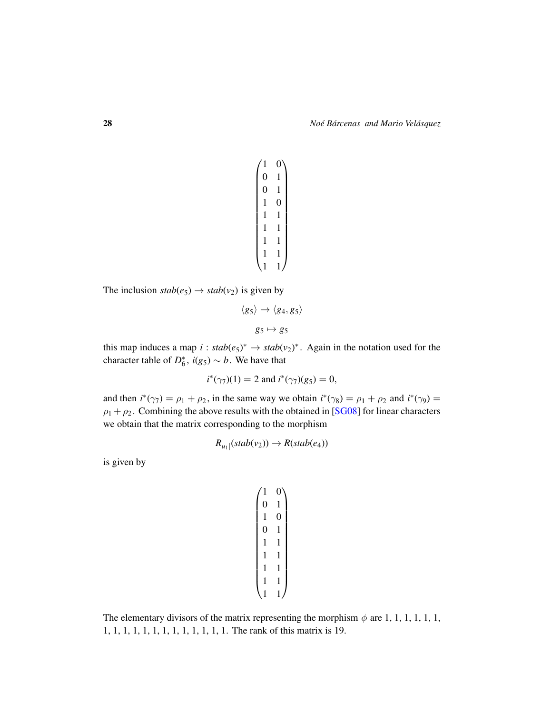$$
\begin{pmatrix} 1 & 0 \\ 0 & 1 \\ 0 & 1 \\ 1 & 0 \\ 1 & 1 \\ 1 & 1 \\ 1 & 1 \\ 1 & 1 \\ 1 & 1 \\ 1 & 1 \end{pmatrix}
$$

The inclusion  $stab(e_5) \rightarrow stab(v_2)$  is given by

$$
\langle g_5 \rangle \rightarrow \langle g_4, g_5 \rangle
$$

$$
g_5 \mapsto g_5
$$

this map induces a map  $i : stab(e_5)^* \rightarrow stab(v_2)^*$ . Again in the notation used for the character table of  $D_6^*$ ,  $i(g_5) \sim b$ . We have that

$$
i^*(\gamma_7)(1) = 2
$$
 and  $i^*(\gamma_7)(g_5) = 0$ ,

and then  $i^*(\gamma_7) = \rho_1 + \rho_2$ , in the same way we obtain  $i^*(\gamma_8) = \rho_1 + \rho_2$  and  $i^*(\gamma_9) =$  $\rho_1 + \rho_2$ . Combining the above results with the obtained in [\[SG08\]](#page-31-1) for linear characters we obtain that the matrix corresponding to the morphism

$$
R_{u_1|}(stab(v_2)) \to R(state_4))
$$

is given by

$$
\begin{pmatrix} 1 & 0 \\ 0 & 1 \\ 1 & 0 \\ 0 & 1 \\ 1 & 1 \\ 1 & 1 \\ 1 & 1 \\ 1 & 1 \\ 1 & 1 \\ 1 & 1 \end{pmatrix}
$$

The elementary divisors of the matrix representing the morphism  $\phi$  are 1, 1, 1, 1, 1, 1, 1, 1, 1, 1, 1, 1, 1, 1, 1, 1, 1, 1, 1, 1. The rank of this matrix is 19.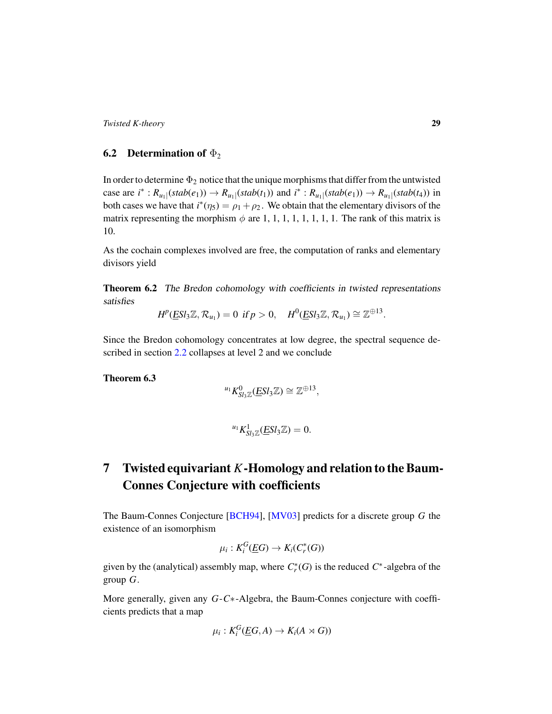### **6.2** Determination of  $\Phi_2$

In order to determine  $\Phi_2$  notice that the unique morphisms that differ from the untwisted case are  $i^*$ :  $R_{u_1}|(stab(e_1)) \to R_{u_1}|(stab(t_1))$  and  $i^*$ :  $R_{u_1}|(stab(e_1)) \to R_{u_1}|(stab(t_4))$  in both cases we have that  $i^*(\eta_5) = \rho_1 + \rho_2$ . We obtain that the elementary divisors of the matrix representing the morphism  $\phi$  are 1, 1, 1, 1, 1, 1, 1, 1. The rank of this matrix is 10.

As the cochain complexes involved are free, the computation of ranks and elementary divisors yield

<span id="page-28-1"></span>Theorem 6.2 The Bredon cohomology with coefficients in twisted representations satisfies

 $H^p(\underline{E} S l_3 \mathbb{Z}, \mathcal{R}_{u_1}) = 0 \text{ if } p > 0, \quad H^0(\underline{E} S l_3 \mathbb{Z}, \mathcal{R}_{u_1}) \cong \mathbb{Z}^{\oplus 13}.$ 

Since the Bredon cohomology concentrates at low degree, the spectral sequence described in section [2.2](#page-12-1) collapses at level 2 and we conclude

<span id="page-28-0"></span>Theorem 6.3

$$
^{u_1}K_{Sl_3\mathbb{Z}}^0(\underline{E}Sl_3\mathbb{Z})\cong \mathbb{Z}^{\oplus 13},
$$

$$
^{u_1}K_{Sl_3\mathbb{Z}}^1(\underline{E}Sl_3\mathbb{Z})=0.
$$

# 7 Twisted equivariant *K*-Homology and relation to the Baum-Connes Conjecture with coefficients

The Baum-Connes Conjecture [\[BCH94\]](#page-30-12), [\[MV03\]](#page-30-7) predicts for a discrete group *G* the existence of an isomorphism

$$
\mu_i: K_i^G(\underline{E}G) \to K_i(C_r^*(G))
$$

given by the (analytical) assembly map, where  $C_r^*(G)$  is the reduced  $C^*$ -algebra of the group *G*.

More generally, given any *G*-*C*∗-Algebra, the Baum-Connes conjecture with coefficients predicts that a map

$$
\mu_i: K_i^G(\underline{E}G, A) \to K_i(A \rtimes G))
$$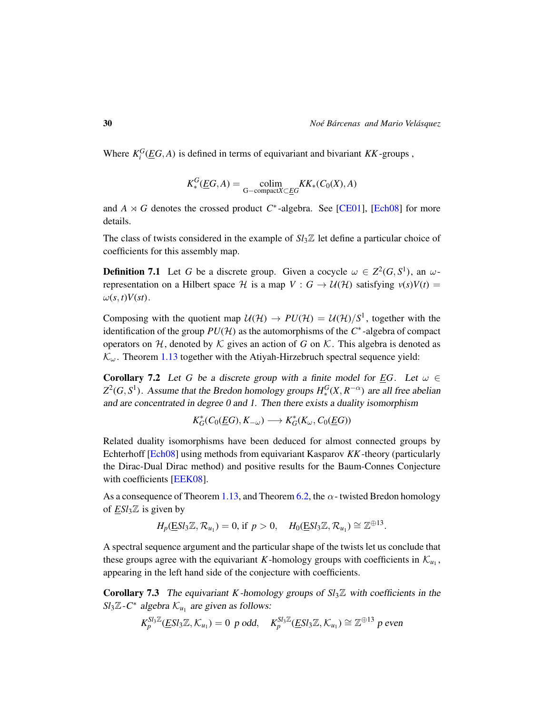⊕13

Where  $K_i^G(\underline{E}G, A)$  is defined in terms of equivariant and bivariant  $KK$ -groups,

$$
K_{*}^{G}(\underline{E}G, A) = \underset{\text{G-compact}X \subset \underline{E}G}{\text{colim}} KK_{*}(C_{0}(X), A)
$$

and  $A \rtimes G$  denotes the crossed product  $C^*$ -algebra. See [\[CE01\]](#page-30-13), [\[Ech08\]](#page-30-14) for more details.

The class of twists considered in the example of  $S_l$ <sup> $\mathbb{Z}$ </sup> let define a particular choice of coefficients for this assembly map.

**Definition 7.1** Let G be a discrete group. Given a cocycle  $\omega \in Z^2(G, S^1)$ , an  $\omega$ representation on a Hilbert space H is a map  $V : G \rightarrow U(H)$  satisfying  $v(s)V(t) =$  $\omega(s,t)V(st)$ .

Composing with the quotient map  $U(\mathcal{H}) \to PU(\mathcal{H}) = U(\mathcal{H})/S^1$ , together with the identification of the group  $PU(H)$  as the automorphisms of the  $C^*$ -algebra of compact operators on  $H$ , denoted by  $K$  gives an action of *G* on  $K$ . This algebra is denoted as  $\mathcal{K}_{\omega}$ . Theorem [1.13](#page-8-0) together with the Atiyah-Hirzebruch spectral sequence yield:

**Corollary 7.2** Let G be a discrete group with a finite model for *EG*. Let  $\omega \in$  $Z^2(G, S^1)$ . Assume that the Bredon homology groups  $H_*^G(X, R^{-\alpha})$  are all free abelian and are concentrated in degree 0 and 1. Then there exists a duality isomorphism

$$
K_G^*(C_0(\underline{E}G),K_{-\omega}) \longrightarrow K_G^*(K_{\omega},C_0(\underline{E}G))
$$

Related duality isomorphisms have been deduced for almost connected groups by Echterhoff [\[Ech08\]](#page-30-14) using methods from equivariant Kasparov *KK*-theory (particularly the Dirac-Dual Dirac method) and positive results for the Baum-Connes Conjecture with coefficients [\[EEK08\]](#page-30-6).

As a consequence of Theorem [1.13,](#page-8-0) and Theorem [6.2,](#page-28-1) the  $\alpha$ -twisted Bredon homology of *ESl*3Z is given by

$$
H_p(\underline{E}Sl_3\mathbb{Z},\mathcal{R}_{u_1})=0, \text{ if } p>0, \quad H_0(\underline{E}Sl_3\mathbb{Z},\mathcal{R}_{u_1})\cong \mathbb{Z}^{\oplus 13}.
$$

A spectral sequence argument and the particular shape of the twists let us conclude that these groups agree with the equivariant *K*-homology groups with coefficients in  $K_{u_1}$ , appearing in the left hand side of the conjecture with coefficients.

<span id="page-29-0"></span>**Corollary 7.3** The equivariant *K*-homology groups of  $S_l \mathbb{Z}$  with coefficients in the  $Sl_3\mathbb{Z}$ -*C*<sup>\*</sup> algebra  $\mathcal{K}_{u_1}$  are given as follows:

$$
K_p^{Sl_3\mathbb{Z}}(\underline{E}Sl_3\mathbb{Z},\mathcal{K}_{u_1})=0 \text{ p odd}, \quad K_p^{Sl_3\mathbb{Z}}(\underline{E}Sl_3\mathbb{Z},\mathcal{K}_{u_1})\cong \mathbb{Z}^{\oplus 13} \text{ p even}
$$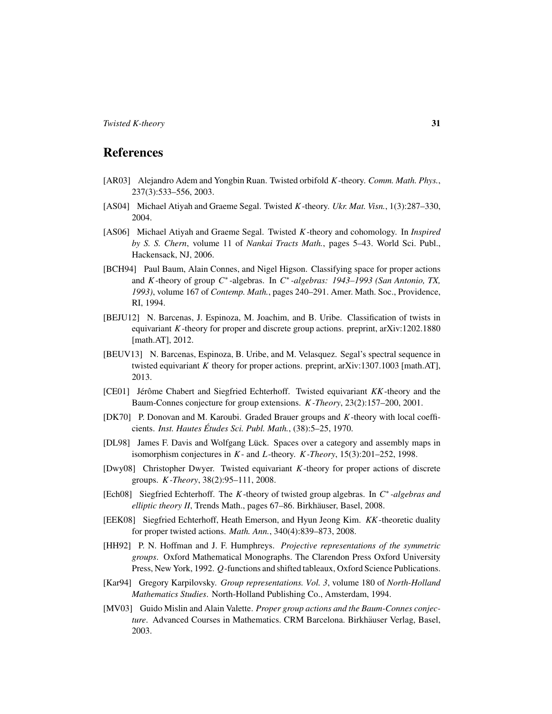## References

- <span id="page-30-2"></span>[AR03] Alejandro Adem and Yongbin Ruan. Twisted orbifold *K*-theory. *Comm. Math. Phys.*, 237(3):533–556, 2003.
- <span id="page-30-1"></span>[AS04] Michael Atiyah and Graeme Segal. Twisted *K*-theory. *Ukr. Mat. Visn.*, 1(3):287–330, 2004.
- <span id="page-30-10"></span>[AS06] Michael Atiyah and Graeme Segal. Twisted *K*-theory and cohomology. In *Inspired by S. S. Chern*, volume 11 of *Nankai Tracts Math.*, pages 5–43. World Sci. Publ., Hackensack, NJ, 2006.
- <span id="page-30-12"></span>[BCH94] Paul Baum, Alain Connes, and Nigel Higson. Classifying space for proper actions and *K*-theory of group *C* ∗ -algebras. In *C* ∗ *-algebras: 1943–1993 (San Antonio, TX, 1993)*, volume 167 of *Contemp. Math.*, pages 240–291. Amer. Math. Soc., Providence, RI, 1994.
- <span id="page-30-4"></span>[BEJU12] N. Barcenas, J. Espinoza, M. Joachim, and B. Uribe. Classification of twists in equivariant *K*-theory for proper and discrete group actions. preprint, arXiv:1202.1880 [math.AT], 2012.
- <span id="page-30-3"></span>[BEUV13] N. Barcenas, Espinoza, B. Uribe, and M. Velasquez. Segal's spectral sequence in twisted equivariant *K* theory for proper actions. preprint, arXiv:1307.1003 [math.AT], 2013.
- <span id="page-30-13"></span>[CE01] Jérôme Chabert and Siegfried Echterhoff. Twisted equivariant *KK*-theory and the Baum-Connes conjecture for group extensions. *K -Theory*, 23(2):157–200, 2001.
- <span id="page-30-0"></span>[DK70] P. Donovan and M. Karoubi. Graded Brauer groups and *K*-theory with local coefficients. *Inst. Hautes Etudes Sci. Publ. Math. ´* , (38):5–25, 1970.
- <span id="page-30-9"></span>[DL98] James F. Davis and Wolfgang Lück. Spaces over a category and assembly maps in isomorphism conjectures in *K*- and *L*-theory. *K -Theory*, 15(3):201–252, 1998.
- <span id="page-30-5"></span>[Dwy08] Christopher Dwyer. Twisted equivariant *K*-theory for proper actions of discrete groups. *K -Theory*, 38(2):95–111, 2008.
- <span id="page-30-14"></span>[Ech08] Siegfried Echterhoff. The *K*-theory of twisted group algebras. In *C* ∗ *-algebras and elliptic theory II*, Trends Math., pages 67–86. Birkhäuser, Basel, 2008.
- <span id="page-30-6"></span>[EEK08] Siegfried Echterhoff, Heath Emerson, and Hyun Jeong Kim. *KK*-theoretic duality for proper twisted actions. *Math. Ann.*, 340(4):839–873, 2008.
- <span id="page-30-11"></span>[HH92] P. N. Hoffman and J. F. Humphreys. *Projective representations of the symmetric groups*. Oxford Mathematical Monographs. The Clarendon Press Oxford University Press, New York, 1992. *Q*-functions and shifted tableaux, Oxford Science Publications.
- <span id="page-30-8"></span>[Kar94] Gregory Karpilovsky. *Group representations. Vol. 3*, volume 180 of *North-Holland Mathematics Studies*. North-Holland Publishing Co., Amsterdam, 1994.
- <span id="page-30-7"></span>[MV03] Guido Mislin and Alain Valette. *Proper group actions and the Baum-Connes conjecture*. Advanced Courses in Mathematics. CRM Barcelona. Birkhäuser Verlag, Basel, 2003.